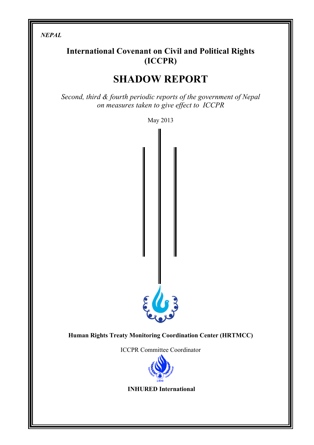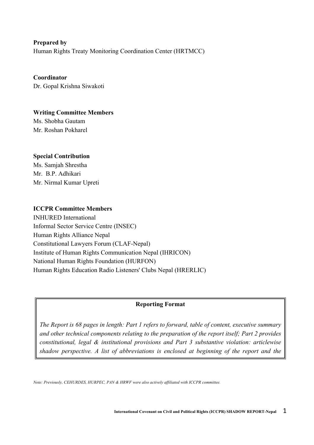**Prepared by** Human Rights Treaty Monitoring Coordination Center (HRTMCC)

**Coordinator** Dr. Gopal Krishna Siwakoti

**Writing Committee Members** Ms. Shobha Gautam Mr. Roshan Pokharel

# **Special Contribution**

Ms. Samjah Shrestha Mr. B.P. Adhikari Mr. Nirmal Kumar Upreti

# **ICCPR Committee Members**

INHURED International Informal Sector Service Centre (INSEC) Human Rights Alliance Nepal Constitutional Lawyers Forum (CLAF-Nepal) Institute of Human Rights Communication Nepal (IHRICON) National Human Rights Foundation (HURFON) Human Rights Education Radio Listeners' Clubs Nepal (HRERLIC)

# **Reporting Format**

*The Report is 68 pages in length: Part 1 refers to forward, table of content, executive summary and other technical components relating to the preparation of the report itself; Part 2 provides constitutional, legal & institutional provisions and Part 3 substantive violation: articlewise shadow perspective. A list of abbreviations is enclosed at beginning of the report and the* 

*Note: Previously, CEHURDES, HURPEC, PAN & HRWF were also actively affiliated with ICCPR committee.*

*references are placed at the end of the report.*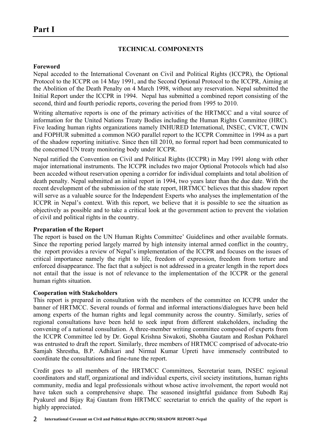# **TECHNICAL COMPONENTS**

### **Foreword**

Nepal acceded to the International Covenant on Civil and Political Rights (ICCPR), the Optional Protocol to the ICCPR on 14 May 1991, and the Second Optional Protocol to the ICCPR, Aiming at the Abolition of the Death Penalty on 4 March 1998, without any reservation. Nepal submitted the Initial Report under the ICCPR in 1994. Nepal has submitted a combined report consisting of the second, third and fourth periodic reports, covering the period from 1995 to 2010.

Writing alternative reports is one of the primary activities of the HRTMCC and a vital source of information for the United Nations Treaty Bodies including the Human Rights Committee (HRC). Five leading human rights organizations namely INHURED International, INSEC, CVICT, CWIN and FOPHUR submitted a common NGO parallel report to the ICCPR Committee in 1994 as a part of the shadow reporting initiative. Since then till 2010, no formal report had been communicated to the concerned UN treaty monitoring body under ICCPR.

Nepal ratified the Convention on Civil and Political Rights (ICCPR) in May 1991 along with other major international instruments. The ICCPR includes two major Optional Protocols which had also been acceded without reservation opening a corridor for individual complaints and total abolition of death penalty. Nepal submitted an initial report in 1994, two years later than the due date. With the recent development of the submission of the state report, HRTMCC believes that this shadow report will serve as a valuable source for the Independent Experts who analyses the implementation of the ICCPR in Nepal's context. With this report, we believe that it is possible to see the situation as objectively as possible and to take a critical look at the government action to prevent the violation of civil and political rights in the country.

# **Preparation of the Report**

The report is based on the UN Human Rights Committee' Guidelines and other available formats. Since the reporting period largely marred by high intensity internal armed conflict in the country, the report provides a review of Nepal's implementation of the ICCPR and focuses on the issues of critical importance namely the right to life, freedom of expression, freedom from torture and enforced disappearance. The fact that a subject is not addressed in a greater length in the report does not entail that the issue is not of relevance to the implementation of the ICCPR or the general human rights situation.

# **Cooperation with Stakeholders**

This report is prepared in consultation with the members of the committee on ICCPR under the banner of HRTMCC. Several rounds of formal and informal interactions/dialogues have been held among experts of the human rights and legal community across the country. Similarly, series of regional consultations have been held to seek input from different stakeholders, including the convening of a national consultation. A three-member writing committee composed of experts from the ICCPR Committee led by Dr. Gopal Krishna Siwakoti, Shobha Gautam and Roshan Pokharel was entrusted to draft the report. Similarly, three members of HRTMCC comprised of advocate-trio Samjah Shrestha, B.P. Adhikari and Nirmal Kumar Upreti have immensely contributed to coordinate the consultations and fine-tune the report.

Credit goes to all members of the HRTMCC Committees, Secretariat team, INSEC regional coordinators and staff, organizational and individual experts, civil society institutions, human rights community, media and legal professionals without whose active involvement, the report would not have taken such a comprehensive shape. The seasoned insightful guidance from Subodh Raj Pyakurel and Bijay Raj Gautam from HRTMCC secretariat to enrich the quality of the report is highly appreciated.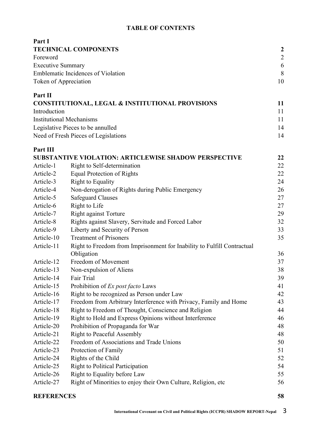# **TABLE OF CONTENTS**

| Part I                   |                                                                                       |                  |
|--------------------------|---------------------------------------------------------------------------------------|------------------|
|                          | <b>TECHNICAL COMPONENTS</b>                                                           | $\boldsymbol{c}$ |
| Foreword                 |                                                                                       | $\overline{c}$   |
| <b>Executive Summary</b> |                                                                                       | 6                |
|                          | <b>Emblematic Incidences of Violation</b>                                             | 8                |
| Token of Appreciation    |                                                                                       | 10               |
| Part II                  |                                                                                       |                  |
|                          | <b>CONSTITUTIONAL, LEGAL &amp; INSTITUTIONAL PROVISIONS</b>                           | 11               |
| Introduction             |                                                                                       | 11               |
|                          | <b>Institutional Mechanisms</b>                                                       | 11               |
|                          | Legislative Pieces to be annulled                                                     | 14               |
|                          | Need of Fresh Pieces of Legislations                                                  | 14               |
| Part III                 |                                                                                       |                  |
|                          | <b>SUBSTANTIVE VIOLATION: ARTICLEWISE SHADOW PERSPECTIVE</b>                          | 22               |
| Article-1                | Right to Self-determination                                                           | 22               |
| Article-2                | <b>Equal Protection of Rights</b>                                                     | 22               |
| Article-3                | <b>Right to Equality</b>                                                              | 24               |
| Article-4                | Non-derogation of Rights during Public Emergency                                      | 26               |
| Article-5                | <b>Safeguard Clauses</b>                                                              | 27               |
| Article-6                | Right to Life                                                                         | 27               |
| Article-7                | <b>Right against Torture</b>                                                          | 29               |
| Article-8                | Rights against Slavery, Servitude and Forced Labor                                    | 32               |
| Article-9                | Liberty and Security of Person                                                        | 33               |
| Article-10               | <b>Treatment of Prisoners</b>                                                         | 35               |
| Article-11               | Right to Freedom from Imprisonment for Inability to Fulfill Contractual<br>Obligation | 36               |
| Article-12               | Freedom of Movement                                                                   | 37               |
| Article-13               | Non-expulsion of Aliens                                                               | 38               |
| Article-14               | Fair Trial                                                                            | 39               |
| Article-15               | Prohibition of Ex post facto Laws                                                     | 41               |
| Article-16               | Right to be recognized as Person under Law                                            | 42               |
| Article-17               | Freedom from Arbitrary Interference with Privacy, Family and Home                     | 43               |
| Article-18               | Right to Freedom of Thought, Conscience and Religion                                  | 44               |
| Article-19               | Right to Hold and Express Opinions without Interference                               | 46               |
| Article-20               | Prohibition of Propaganda for War                                                     | 48               |
| Article-21               | <b>Right to Peaceful Assembly</b>                                                     | 48               |
| Article-22               | Freedom of Associations and Trade Unions                                              | 50               |
| Article-23               | Protection of Family                                                                  | 51               |
| Article-24               | Rights of the Child                                                                   | 52               |
| Article-25               | <b>Right to Political Participation</b>                                               | 54               |
| Article-26               | Right to Equality before Law                                                          | 55               |
| Article-27               | Right of Minorities to enjoy their Own Culture, Religion, etc                         | 56               |
|                          |                                                                                       |                  |

# **REFERENCES 58**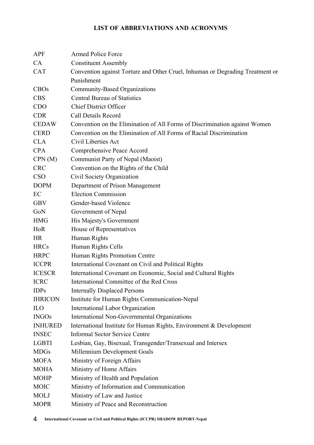# **LIST OF ABBREVIATIONS AND ACRONYMS**

| <b>APF</b>     | <b>Armed Police Force</b>                                                     |
|----------------|-------------------------------------------------------------------------------|
| CA             | <b>Constituent Assembly</b>                                                   |
| <b>CAT</b>     | Convention against Torture and Other Cruel, Inhuman or Degrading Treatment or |
|                | Punishment                                                                    |
| <b>CBOs</b>    | Community-Based Organizations                                                 |
| <b>CBS</b>     | <b>Central Bureau of Statistics</b>                                           |
| <b>CDO</b>     | <b>Chief District Officer</b>                                                 |
| <b>CDR</b>     | Call Details Record                                                           |
| <b>CEDAW</b>   | Convention on the Elimination of All Forms of Discrimination against Women    |
| <b>CERD</b>    | Convention on the Elimination of All Forms of Racial Discrimination           |
| <b>CLA</b>     | Civil Liberties Act                                                           |
| <b>CPA</b>     | Comprehensive Peace Accord                                                    |
| CPN(M)         | Communist Party of Nepal (Maoist)                                             |
| <b>CRC</b>     | Convention on the Rights of the Child                                         |
| <b>CSO</b>     | Civil Society Organization                                                    |
| <b>DOPM</b>    | Department of Prison Management                                               |
| EC             | <b>Election Commission</b>                                                    |
| <b>GBV</b>     | Gender-based Violence                                                         |
| GoN            | Government of Nepal                                                           |
| <b>HMG</b>     | His Majesty's Government                                                      |
| HoR            | House of Representatives                                                      |
| <b>HR</b>      | Human Rights                                                                  |
| <b>HRCs</b>    | Human Rights Cells                                                            |
| <b>HRPC</b>    | Human Rights Promotion Centre                                                 |
| <b>ICCPR</b>   | International Covenant on Civil and Political Rights                          |
| <b>ICESCR</b>  | International Covenant on Economic, Social and Cultural Rights                |
| <b>ICRC</b>    | International Committee of the Red Cross                                      |
| <b>IDPs</b>    | <b>Internally Displaced Persons</b>                                           |
| <b>IHRICON</b> | Institute for Human Rights Communication-Nepal                                |
| ILO            | International Labor Organization                                              |
| <b>INGOs</b>   | International Non-Governmental Organizations                                  |
| <b>INHURED</b> | International Institute for Human Rights, Environment & Development           |
| <b>INSEC</b>   | <b>Informal Sector Service Centre</b>                                         |
| <b>LGBTI</b>   | Lesbian, Gay, Bisexual, Transgender/Transexual and Intersex                   |
| <b>MDGs</b>    | Millennium Development Goals                                                  |
| <b>MOFA</b>    | Ministry of Foreign Affairs                                                   |
| <b>MOHA</b>    | Ministry of Home Affairs                                                      |
| <b>MOHP</b>    | Ministry of Health and Population                                             |
| <b>MOIC</b>    | Ministry of Information and Communication                                     |
| <b>MOLJ</b>    | Ministry of Law and Justice                                                   |
| <b>MOPR</b>    | Ministry of Peace and Reconstruction                                          |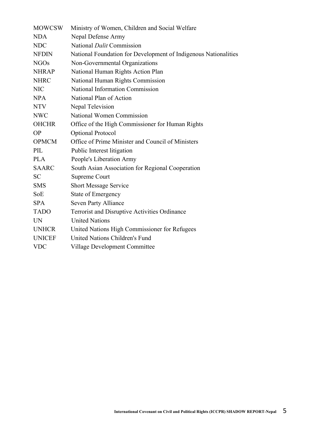| <b>MOWCSW</b> | Ministry of Women, Children and Social Welfare                  |
|---------------|-----------------------------------------------------------------|
| <b>NDA</b>    | Nepal Defense Army                                              |
| <b>NDC</b>    | National <i>Dalit</i> Commission                                |
| <b>NFDIN</b>  | National Foundation for Development of Indigenous Nationalities |
| <b>NGOs</b>   | Non-Governmental Organizations                                  |
| <b>NHRAP</b>  | National Human Rights Action Plan                               |
| <b>NHRC</b>   | National Human Rights Commission                                |
| <b>NIC</b>    | <b>National Information Commission</b>                          |
| <b>NPA</b>    | National Plan of Action                                         |
| <b>NTV</b>    | Nepal Television                                                |
| <b>NWC</b>    | National Women Commission                                       |
| <b>OHCHR</b>  | Office of the High Commissioner for Human Rights                |
| <b>OP</b>     | <b>Optional Protocol</b>                                        |
| <b>OPMCM</b>  | Office of Prime Minister and Council of Ministers               |
| PIL           | Public Interest litigation                                      |
| <b>PLA</b>    | People's Liberation Army                                        |
| <b>SAARC</b>  | South Asian Association for Regional Cooperation                |
| <b>SC</b>     | <b>Supreme Court</b>                                            |
| <b>SMS</b>    | <b>Short Message Service</b>                                    |
| SoE           | <b>State of Emergency</b>                                       |
| <b>SPA</b>    | Seven Party Alliance                                            |
| <b>TADO</b>   | Terrorist and Disruptive Activities Ordinance                   |
| <b>UN</b>     | <b>United Nations</b>                                           |
| <b>UNHCR</b>  | United Nations High Commissioner for Refugees                   |
| <b>UNICEF</b> | <b>United Nations Children's Fund</b>                           |
| <b>VDC</b>    | <b>Village Development Committee</b>                            |
|               |                                                                 |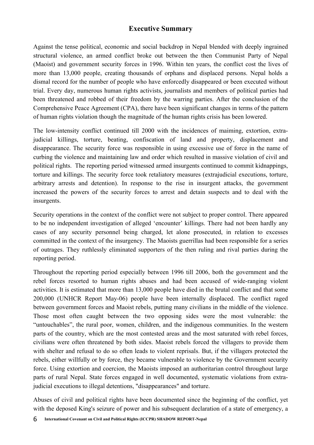# **Executive Summary**

Against the tense political, economic and social backdrop in Nepal blended with deeply ingrained structural violence, an armed conflict broke out between the then Communist Party of Nepal (Maoist) and government security forces in 1996. Within ten years, the conflict cost the lives of more than 13,000 people, creating thousands of orphans and displaced persons. Nepal holds a dismal record for the number of people who have enforcedly disappeared or been executed without trial. Every day, numerous human rights activists, journalists and members of political parties had been threatened and robbed of their freedom by the warring parties. After the conclusion of the Comprehensive Peace Agreement (CPA), there have been significant changes in terms of the pattern of human rights violation though the magnitude of the human rights crisis has been lowered.

The low-intensity conflict continued till 2000 with the incidences of maiming, extortion, extrajudicial killings, torture, beating, confiscation of land and property, displacement and disappearance. The security force was responsible in using excessive use of force in the name of curbing the violence and maintaining law and order which resulted in massive violation of civil and political rights. The reporting period witnessed armed insurgents continued to commit kidnappings, torture and killings. The security force took retaliatory measures (extrajudicial executions, torture, arbitrary arrests and detention). In response to the rise in insurgent attacks, the government increased the powers of the security forces to arrest and detain suspects and to deal with the insurgents.

Security operations in the context of the conflict were not subject to proper control. There appeared to be no independent investigation of alleged 'encounter' killings. There had not been hardly any cases of any security personnel being charged, let alone prosecuted, in relation to excesses committed in the context of the insurgency. The Maoists guerrillas had been responsible for a series of outrages. They ruthlessly eliminated supporters of the then ruling and rival parties during the reporting period.

Throughout the reporting period especially between 1996 till 2006, both the government and the rebel forces resorted to human rights abuses and had been accused of wide-ranging violent activities. It is estimated that more than 13,000 people have died in the brutal conflict and that some 200,000 (UNHCR Report May-06) people have been internally displaced. The conflict raged between government forces and Maoist rebels, putting many civilians in the middle of the violence. Those most often caught between the two opposing sides were the most vulnerable: the "untouchables", the rural poor, women, children, and the indigenous communities. In the western parts of the country, which are the most contested areas and the most saturated with rebel forces, civilians were often threatened by both sides. Maoist rebels forced the villagers to provide them with shelter and refusal to do so often leads to violent reprisals. But, if the villagers protected the rebels, either willfully or by force, they became vulnerable to violence by the Government security force. Using extortion and coercion, the Maoists imposed an authoritarian control throughout large parts of rural Nepal. State forces engaged in well documented, systematic violations from extrajudicial executions to illegal detentions, "disappearances" and torture.

Abuses of civil and political rights have been documented since the beginning of the conflict, yet with the deposed King's seizure of power and his subsequent declaration of a state of emergency, a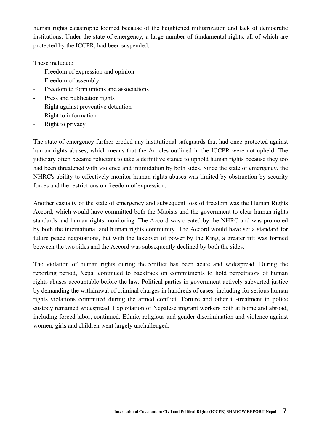human rights catastrophe loomed because of the heightened militarization and lack of democratic institutions. Under the state of emergency, a large number of fundamental rights, all of which are protected by the ICCPR, had been suspended.

These included:

- Freedom of expression and opinion
- Freedom of assembly
- Freedom to form unions and associations
- Press and publication rights
- Right against preventive detention
- Right to information
- Right to privacy

The state of emergency further eroded any institutional safeguards that had once protected against human rights abuses, which means that the Articles outlined in the ICCPR were not upheld. The judiciary often became reluctant to take a definitive stance to uphold human rights because they too had been threatened with violence and intimidation by both sides. Since the state of emergency, the NHRC's ability to effectively monitor human rights abuses was limited by obstruction by security forces and the restrictions on freedom of expression.

Another casualty of the state of emergency and subsequent loss of freedom was the Human Rights Accord, which would have committed both the Maoists and the government to clear human rights standards and human rights monitoring. The Accord was created by the NHRC and was promoted by both the international and human rights community. The Accord would have set a standard for future peace negotiations, but with the takeover of power by the King, a greater rift was formed between the two sides and the Accord was subsequently declined by both the sides.

The violation of human rights during the conflict has been acute and widespread. During the reporting period, Nepal continued to backtrack on commitments to hold perpetrators of human rights abuses accountable before the law. Political parties in government actively subverted justice by demanding the withdrawal of criminal charges in hundreds of cases, including for serious human rights violations committed during the armed conflict. Torture and other ill-treatment in police custody remained widespread. Exploitation of Nepalese migrant workers both at home and abroad, including forced labor, continued. Ethnic, religious and gender discrimination and violence against women, girls and children went largely unchallenged.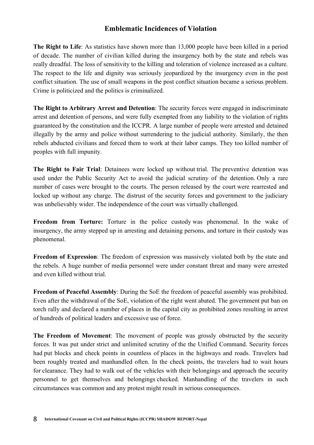# **Emblematic Incidences of Violation**

**The Right to Life**: As statistics have shown more than 13,000 people have been killed in a period of decade. The number of civilian killed during the insurgency both by the state and rebels was really dreadful. The loss of sensitivity to the killing and toleration of violence increased as a culture. The respect to the life and dignity was seriously jeopardized by the insurgency even in the post conflict situation. The use of small weapons in the post conflict situation became a serious problem. Crime is politicized and the politics is criminalized.

**The Right to Arbitrary Arrest and Detention**: The security forces were engaged in indiscriminate arrest and detention of persons, and were fully exempted from any liability to the violation of rights guaranteed by the constitution and the ICCPR. A large number of people were arrested and detained illegally by the army and police without surrendering to the judicial authority. Similarly, the then rebels abducted civilians and forced them to work at their labor camps. They too killed number of peoples with full impunity.

**The Right to Fair Trial**: Detainees were locked up without trial. The preventive detention was used under the Public Security Act to avoid the judicial scrutiny of the detention. Only a rare number of cases were brought to the courts. The person released by the court were rearrested and locked up without any charge. The distrust of the security forces and government to the judiciary was unbelievably wider. The independence of the court was virtually challenged.

**Freedom from Torture:** Torture in the police custody was phenomenal. In the wake of insurgency, the army stepped up in arresting and detaining persons, and torture in their custody was phenomenal.

**Freedom of Expression**: The freedom of expression was massively violated both by the state and the rebels. A huge number of media personnel were under constant threat and many were arrested and even killed without trial.

**Freedom of Peaceful Assembly**: During the SoE the freedom of peaceful assembly was prohibited. Even after the withdrawal of the SoE, violation of the right went abated. The government put ban on torch rally and declared a number of places in the capital city as prohibited zones resulting in arrest of hundreds of political leaders and excessive use of force.

**The Freedom of Movement**: The movement of people was grossly obstructed by the security forces. It was put under strict and unlimited scrutiny of the the Unified Command. Security forces had put blocks and check points in countless of places in the highways and roads. Travelers had been roughly treated and manhandled often. In the check points, the travelers had to wait hours for clearance. They had to walk out of the vehicles with their belongings and approach the security personnel to get themselves and belongings checked. Manhandling of the travelers in such circumstances was common and any protest might result in serious consequences.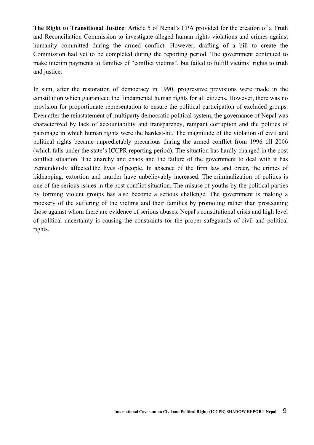**The Right to Transitional Justice**: Article 5 of Nepal's CPA provided for the creation of a Truth and Reconciliation Commission to investigate alleged human rights violations and crimes against humanity committed during the armed conflict. However, drafting of a bill to create the Commission had yet to be completed during the reporting period. The government continued to make interim payments to families of "conflict victims", but failed to fulfill victims' rights to truth and justice.

In sum, after the restoration of democracy in 1990, progressive provisions were made in the constitution which guaranteed the fundamental human rights for all citizens. However, there was no provision for proportionate representation to ensure the political participation of excluded groups. Even after the reinstatement of multiparty democratic political system, the governance of Nepal was characterized by lack of accountability and transparency, rampant corruption and the politics of patronage in which human rights were the hardest-hit. The magnitude of the violation of civil and political rights became unpredictably precarious during the armed conflict from 1996 till 2006 (which falls under the state's ICCPR reporting period). The situation has hardly changed in the post conflict situation. The anarchy and chaos and the failure of the government to deal with it has tremendously affected the lives of people. In absence of the firm law and order, the crimes of kidnapping, extortion and murder have unbelievably increased. The criminalization of politics is one of the serious issues in the post conflict situation. The misuse of youths by the political parties by forming violent groups has also become a serious challenge. The government is making a mockery of the suffering of the victims and their families by promoting rather than prosecuting those against whom there are evidence of serious abuses. Nepal's constitutional crisis and high level of political uncertainty is causing the constraints for the proper safeguards of civil and political rights.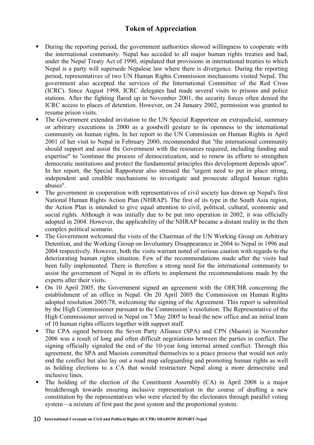# **Token of Appreciation**

- ! During the reporting period, the government authorities showed willingness to cooperate with the international community. Nepal has acceded to all major human rights treaties and had, under the Nepal Treaty Act of 1990, stipulated that provisions in international treaties to which Nepal is a party will supersede Nepalese law where there is divergence. During the reporting period, representatives of two UN Human Rights Commission mechanisms visited Nepal. The government also accepted the services of the International Committee of the Red Cross (ICRC). Since August 1998, ICRC delegates had made several visits to prisons and police stations. After the fighting flared up in November 2001, the security forces often denied the ICRC access to places of detention. However, on 24 January 2002, permission was granted to resume prison visits.
- ! The Government extended invitation to the UN Special Rapporteur on extrajudicial, summary or arbitrary executions in 2000 as a goodwill gesture to its openness to the international community on human rights. In her report to the UN Commission on Human Rights in April 2001 of her visit to Nepal in February 2000, recommended that ''the international community should support and assist the Government with the resources required, including funding and expertise'' to ''continue the process of democratization, and to renew its efforts to strengthen democratic institutions and protect the fundamental principles this development depends upon''. In her report, the Special Rapporteur also stressed the ''urgent need to put in place strong, independent and credible mechanisms to investigate and prosecute alleged human rights abuses''.
- ! The government in cooperation with representatives of civil society has drawn up Nepal's first National Human Rights Action Plan (NHRAP). The first of its type in the South Asia region, the Action Plan is intended to give equal attention to civil, political, cultural, economic and social rights. Although it was initially due to be put into operation in 2002, it was officially adopted in 2004. However, the applicability of the NHRAP became a distant reality in the then complex political scenario.
- ! The Government welcomed the visits of the Chairman of the UN Working Group on Arbitrary Detention, and the Working Group on Involuntary Disappearance in 2004 to Nepal in 1996 and 2004 respectively. However, both the visits warrant noted of serious caution with regards to the deteriorating human rights situation. Few of the recommendations made after the visits had been fully implemented. There is therefore a strong need for the international community to assist the government of Nepal in its efforts to implement the recommendations made by the experts after their visits.
- ! On 10 April 2005, the Government signed an agreement with the OHCHR concerning the establishment of an office in Nepal. On 20 April 2005 the Commission on Human Rights adopted resolution 2005/78, welcoming the signing of the Agreement. This report is submitted by the High Commissioner pursuant to the Commission's resolution. The Representative of the High Commissioner arrived in Nepal on 7 May 2005 to head the new office and an initial team of 10 human rights officers together with support staff.
- ! The CPA signed between the Seven Party Alliance (SPA) and CPN (Maoist) in November 2006 was a result of long and often difficult negotiations between the parties in conflict. The signing officially signaled the end of the 10-year long internal armed conflict. Through this agreement, the SPA and Maoists committed themselves to a peace process that would not only end the conflict but also lay out a road map safeguarding and promoting human rights as well as holding elections to a CA that would restructure Nepal along a more democratic and inclusive lines.
- ! The holding of the election of the Constituent Assembly (CA) in April 2008 is a major breakthrough towards ensuring inclusive representation in the course of drafting a new constitution by the representatives who were elected by the electorates through parallel voting system—a mixture of first past the post system and the proportional system.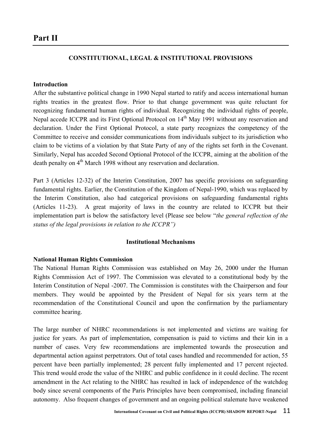# **Part II**

# **CONSTITUTIONAL, LEGAL & INSTITUTIONAL PROVISIONS**

### **Introduction**

After the substantive political change in 1990 Nepal started to ratify and access international human rights treaties in the greatest flow. Prior to that change government was quite reluctant for recognizing fundamental human rights of individual. Recognizing the individual rights of people, Nepal accede ICCPR and its First Optional Protocol on 14<sup>th</sup> May 1991 without any reservation and declaration. Under the First Optional Protocol, a state party recognizes the competency of the Committee to receive and consider communications from individuals subject to its jurisdiction who claim to be victims of a violation by that State Party of any of the rights set forth in the Covenant. Similarly, Nepal has acceded Second Optional Protocol of the ICCPR, aiming at the abolition of the death penalty on 4<sup>th</sup> March 1998 without any reservation and declaration.

Part 3 (Articles 12-32) of the Interim Constitution, 2007 has specific provisions on safeguarding fundamental rights. Earlier, the Constitution of the Kingdom of Nepal-1990, which was replaced by the Interim Constitution, also had categorical provisions on safeguarding fundamental rights (Articles 11-23). A great majority of laws in the country are related to ICCPR but their implementation part is below the satisfactory level (Please see below "*the general reflection of the status of the legal provisions in relation to the ICCPR")*

### **Institutional Mechanisms**

# **National Human Rights Commission**

The National Human Rights Commission was established on May 26, 2000 under the Human Rights Commission Act of 1997. The Commission was elevated to a constitutional body by the Interim Constitution of Nepal -2007. The Commission is constitutes with the Chairperson and four members. They would be appointed by the President of Nepal for six years term at the recommendation of the Constitutional Council and upon the confirmation by the parliamentary committee hearing.

The large number of NHRC recommendations is not implemented and victims are waiting for justice for years. As part of implementation, compensation is paid to victims and their kin in a number of cases. Very few recommendations are implemented towards the prosecution and departmental action against perpetrators. Out of total cases handled and recommended for action, 55 percent have been partially implemented; 28 percent fully implemented and 17 percent rejected. This trend would erode the value of the NHRC and public confidence in it could decline. The recent amendment in the Act relating to the NHRC has resulted in lack of independence of the watchdog body since several components of the Paris Principles have been compromised, including financial autonomy. Also frequent changes of government and an ongoing political stalemate have weakened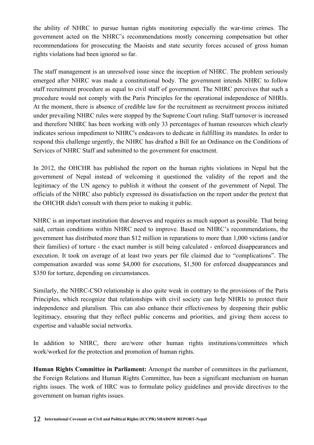the ability of NHRC to pursue human rights monitoring especially the war-time crimes. The government acted on the NHRC's recommendations mostly concerning compensation but other recommendations for prosecuting the Maoists and state security forces accused of gross human rights violations had been ignored so far.

The staff management is an unresolved issue since the inception of NHRC. The problem seriously emerged after NHRC was made a constitutional body. The government intends NHRC to follow staff recruitment procedure as equal to civil staff of government. The NHRC perceives that such a procedure would not comply with the Paris Principles for the operational independence of NHRIs. At the moment, there is absence of credible law for the recruitment as recruitment process initiated under prevailing NHRC rules were stopped by the Supreme Court ruling. Staff turnover is increased and therefore NHRC has been working with only 33 percentages of human resources which clearly indicates serious impediment to NHRC's endeavors to dedicate in fulfilling its mandates. In order to respond this challenge urgently, the NHRC has drafted a Bill for an Ordinance on the Conditions of Services of NHRC Staff and submitted to the government for enactment.

In 2012, the OHCHR has published the report on the human rights violations in Nepal but the government of Nepal instead of welcoming it questioned the validity of the report and the legitimacy of the UN agency to publish it without the consent of the government of Nepal. The officials of the NHRC also publicly expressed its dissatisfaction on the report under the pretext that the OHCHR didn't consult with them prior to making it public.

NHRC is an important institution that deserves and requires as much support as possible. That being said, certain conditions within NHRC need to improve. Based on NHRC's recommendations, the government has distributed more than \$12 million in reparations to more than 1,000 victims (and/or their families) of torture - the exact number is still being calculated - enforced disappearances and execution. It took on average of at least two years per file claimed due to "complications". The compensation awarded was some \$4,000 for executions, \$1,500 for enforced disappearances and \$350 for torture, depending on circumstances.

Similarly, the NHRC-CSO relationship is also quite weak in contrary to the provisions of the Paris Principles, which recognize that relationships with civil society can help NHRIs to protect their independence and pluralism. This can also enhance their effectiveness by deepening their public legitimacy, ensuring that they reflect public concerns and priorities, and giving them access to expertise and valuable social networks.

In addition to NHRC, there are/were other human rights institutions/committees which work/worked for the protection and promotion of human rights.

**Human Rights Committee in Parliament:** Amongst the number of committees in the parliament, the Foreign Relations and Human Rights Committee, has been a significant mechanism on human rights issues. The work of HRC was to formulate policy guidelines and provide directives to the government on human rights issues.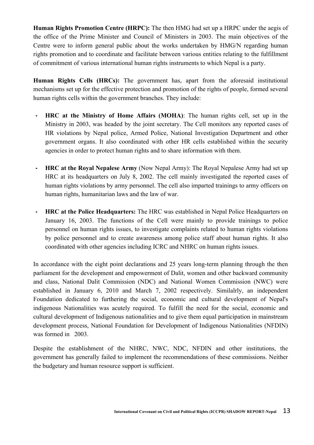**Human Rights Promotion Centre (HRPC):** The then HMG had set up a HRPC under the aegis of the office of the Prime Minister and Council of Ministers in 2003. The main objectives of the Centre were to inform general public about the works undertaken by HMG/N regarding human rights promotion and to coordinate and facilitate between various entities relating to the fulfillment of commitment of various international human rights instruments to which Nepal is a party.

**Human Rights Cells (HRCs):** The government has, apart from the aforesaid institutional mechanisms set up for the effective protection and promotion of the rights of people, formed several human rights cells within the government branches. They include:

- **- HRC at the Ministry of Home Affairs (MOHA)**: The human rights cell, set up in the Ministry in 2003, was headed by the joint secretary. The Cell monitors any reported cases of HR violations by Nepal police, Armed Police, National Investigation Department and other government organs. It also coordinated with other HR cells established within the security agencies in order to protect human rights and to share information with them.
- **- HRC at the Royal Nepalese Army** (Now Nepal Army): The Royal Nepalese Army had set up HRC at its headquarters on July 8, 2002. The cell mainly investigated the reported cases of human rights violations by army personnel. The cell also imparted trainings to army officers on human rights, humanitarian laws and the law of war.
- **- HRC at the Police Headquarters:** The HRC was established in Nepal Police Headquarters on January 16, 2003. The functions of the Cell were mainly to provide trainings to police personnel on human rights issues, to investigate complaints related to human rights violations by police personnel and to create awareness among police staff about human rights. It also coordinated with other agencies including ICRC and NHRC on human rights issues.

In accordance with the eight point declarations and 25 years long-term planning through the then parliament for the development and empowerment of Dalit, women and other backward community and class, National Dalit Commission (NDC) and National Women Commission (NWC) were established in January 6, 2010 and March 7, 2002 respectively. Similalrly, an independent Foundation dedicated to furthering the social, economic and cultural development of Nepal's indigenous Nationalities was acutely required. To fulfill the need for the social, economic and cultural development of Indigenous nationalities and to give them equal participation in mainstream development process, National Foundation for Development of Indigenous Nationalities (NFDIN) was formed in 2003.

Despite the establishment of the NHRC, NWC, NDC, NFDIN and other institutions, the government has generally failed to implement the recommendations of these commissions. Neither the budgetary and human resource support is sufficient.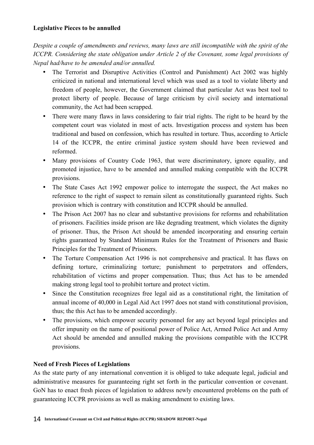# **Legislative Pieces to be annulled**

*Despite a couple of amendments and reviews, many laws are still incompatible with the spirit of the ICCPR. Considering the state obligation under Article 2 of the Covenant, some legal provisions of Nepal had/have to be amended and/or annulled.* 

- The Terrorist and Disruptive Activities (Control and Punishment) Act 2002 was highly criticized in national and international level which was used as a tool to violate liberty and freedom of people, however, the Government claimed that particular Act was best tool to protect liberty of people. Because of large criticism by civil society and international community, the Act had been scrapped.
- There were many flaws in laws considering to fair trial rights. The right to be heard by the competent court was violated in most of acts. Investigation process and system has been traditional and based on confession, which has resulted in torture. Thus, according to Article 14 of the ICCPR, the entire criminal justice system should have been reviewed and reformed.
- Many provisions of Country Code 1963, that were discriminatory, ignore equality, and promoted injustice, have to be amended and annulled making compatible with the ICCPR provisions.
- The State Cases Act 1992 empower police to interrogate the suspect, the Act makes no reference to the right of suspect to remain silent as constitutionally guaranteed rights. Such provision which is contrary with constitution and ICCPR should be annulled.
- The Prison Act 2007 has no clear and substantive provisions for reforms and rehabilitation of prisoners. Facilities inside prison are like degrading treatment, which violates the dignity of prisoner. Thus, the Prison Act should be amended incorporating and ensuring certain rights guaranteed by Standard Minimum Rules for the Treatment of Prisoners and Basic Principles for the Treatment of Prisoners.
- The Torture Compensation Act 1996 is not comprehensive and practical. It has flaws on defining torture, criminalizing torture; punishment to perpetrators and offenders, rehabilitation of victims and proper compensation. Thus; thus Act has to be amended making strong legal tool to prohibit torture and protect victim.
- Since the Constitution recognizes free legal aid as a constitutional right, the limitation of annual income of 40,000 in Legal Aid Act 1997 does not stand with constitutional provision, thus; the this Act has to be amended accordingly.
- The provisions, which empower security personnel for any act beyond legal principles and offer impunity on the name of positional power of Police Act, Armed Police Act and Army Act should be amended and annulled making the provisions compatible with the ICCPR provisions.

# **Need of Fresh Pieces of Legislations**

As the state party of any international convention it is obliged to take adequate legal, judicial and administrative measures for guaranteeing right set forth in the particular convention or covenant. GoN has to enact fresh pieces of legislation to address newly encountered problems on the path of guaranteeing ICCPR provisions as well as making amendment to existing laws.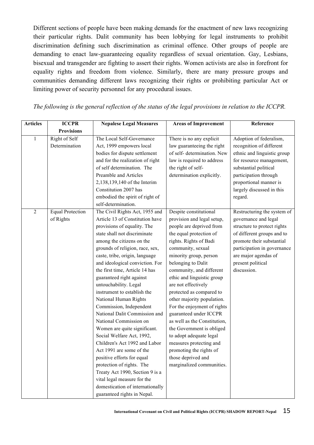Different sections of people have been making demands for the enactment of new laws recognizing their particular rights. Dalit community has been lobbying for legal instruments to prohibit discrimination defining such discrimination as criminal offence. Other groups of people are demanding to enact law-guaranteeing equality regardless of sexual orientation. Gay, Lesbians, bisexual and transgender are fighting to assert their rights. Women activists are also in forefront for equality rights and freedom from violence. Similarly, there are many pressure groups and communities demanding different laws recognizing their rights or prohibiting particular Act or limiting power of security personnel for any procedural issues.

| <b>Articles</b> | <b>ICCPR</b>                         | <b>Nepalese Legal Measures</b>                                                                                                                                                                                                                                                                                                                                                                                                                                                                                                                                                                                                                                                                                                                                                                                                       | <b>Areas of Improvement</b>                                                                                                                                                                                                                                                                                                                                                                                                                                                                                                                                                                                     | Reference                                                                                                                                                                                                                                |
|-----------------|--------------------------------------|--------------------------------------------------------------------------------------------------------------------------------------------------------------------------------------------------------------------------------------------------------------------------------------------------------------------------------------------------------------------------------------------------------------------------------------------------------------------------------------------------------------------------------------------------------------------------------------------------------------------------------------------------------------------------------------------------------------------------------------------------------------------------------------------------------------------------------------|-----------------------------------------------------------------------------------------------------------------------------------------------------------------------------------------------------------------------------------------------------------------------------------------------------------------------------------------------------------------------------------------------------------------------------------------------------------------------------------------------------------------------------------------------------------------------------------------------------------------|------------------------------------------------------------------------------------------------------------------------------------------------------------------------------------------------------------------------------------------|
|                 | <b>Provisions</b>                    |                                                                                                                                                                                                                                                                                                                                                                                                                                                                                                                                                                                                                                                                                                                                                                                                                                      |                                                                                                                                                                                                                                                                                                                                                                                                                                                                                                                                                                                                                 |                                                                                                                                                                                                                                          |
| 1               | Right of Self<br>Determination       | The Local Self-Governance<br>Act, 1999 empowers local<br>bodies for dispute settlement<br>and for the realization of right<br>of self determination. The<br>Preamble and Articles<br>2,138,139,140 of the Interim<br>Constitution 2007 has<br>embodied the spirit of right of<br>self-determination.                                                                                                                                                                                                                                                                                                                                                                                                                                                                                                                                 | There is no any explicit<br>law guaranteeing the right<br>of self- determination. New<br>law is required to address<br>the right of self-<br>determination explicitly.                                                                                                                                                                                                                                                                                                                                                                                                                                          | Adoption of federalism,<br>recognition of different<br>ethnic and linguistic group<br>for resource management,<br>substantial political<br>participation through<br>proportional manner is<br>largely discussed in this<br>regard.       |
| $\overline{2}$  | <b>Equal Protection</b><br>of Rights | The Civil Rights Act, 1955 and<br>Article 13 of Constitution have<br>provisions of equality. The<br>state shall not discriminate<br>among the citizens on the<br>grounds of religion, race, sex,<br>caste, tribe, origin, language<br>and ideological conviction. For<br>the first time, Article 14 has<br>guaranteed right against<br>untouchability. Legal<br>instrument to establish the<br>National Human Rights<br>Commission, Independent<br>National Dalit Commission and<br>National Commission on<br>Women are quite significant.<br>Social Welfare Act, 1992,<br>Children's Act 1992 and Labor<br>Act 1991 are some of the<br>positive efforts for equal<br>protection of rights. The<br>Treaty Act 1990, Section 9 is a<br>vital legal measure for the<br>domestication of internationally<br>guaranteed rights in Nepal. | Despite constitutional<br>provision and legal setup,<br>people are deprived from<br>the equal protection of<br>rights. Rights of Badi<br>community, sexual<br>minority group, person<br>belonging to Dalit<br>community, and different<br>ethic and linguistic group<br>are not effectively<br>protected as compared to<br>other majority population.<br>For the enjoyment of rights<br>guaranteed under ICCPR<br>as well as the Constitution,<br>the Government is obliged<br>to adopt adequate legal<br>measures protecting and<br>promoting the rights of<br>those deprived and<br>marginalized communities. | Restructuring the system of<br>governance and legal<br>structure to protect rights<br>of different groups and to<br>promote their substantial<br>participation in governance<br>are major agendas of<br>present political<br>discussion. |

*The following is the general reflection of the status of the legal provisions in relation to the ICCPR.*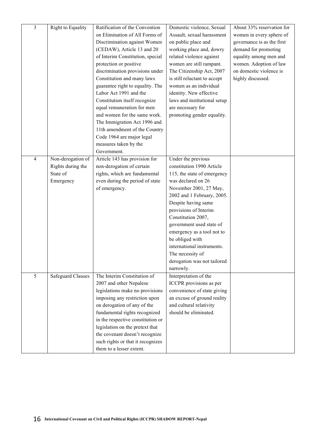| $\overline{\mathbf{3}}$ | Right to Equality        | Ratification of the Convention                               | Domestic violence, Sexual                              | About 33% reservation for  |
|-------------------------|--------------------------|--------------------------------------------------------------|--------------------------------------------------------|----------------------------|
|                         |                          | on Elimination of All Forms of                               | Assault, sexual harassment                             | women in every sphere of   |
|                         |                          | Discrimination against Women                                 | on public place and                                    | governance is as the first |
|                         |                          | (CEDAW), Article 13 and 20                                   | working place and, dowry                               | demand for promoting       |
|                         |                          | of Interim Constitution, special                             | related violence against                               | equality among men and     |
|                         |                          | protection or positive                                       | women are still rampant.                               | women. Adoption of law     |
|                         |                          | discrimination provisions under                              | The Citizenship Act, 2007                              | on domestic violence is    |
|                         |                          | Constitution and many laws                                   | is still reluctant to accept                           | highly discussed.          |
|                         |                          | guarantee right to equality. The                             | women as an individual                                 |                            |
|                         |                          | Labor Act 1991 and the                                       | identity. New effective                                |                            |
|                         |                          | Constitution itself recognize                                | laws and institutional setup                           |                            |
|                         |                          | equal remuneration for men                                   | are necessary for                                      |                            |
|                         |                          | and women for the same work.                                 | promoting gender equality.                             |                            |
|                         |                          | The Immigration Act 1996 and                                 |                                                        |                            |
|                         |                          | 11th amendment of the Country                                |                                                        |                            |
|                         |                          | Code 1964 are major legal                                    |                                                        |                            |
|                         |                          | measures taken by the                                        |                                                        |                            |
|                         |                          | Government.                                                  |                                                        |                            |
| $\overline{4}$          | Non-derogation of        | Article 143 has provision for                                | Under the previous                                     |                            |
|                         | Rights during the        | non-derogation of certain                                    | constitution 1990 Article                              |                            |
|                         | State of                 | rights, which are fundamental                                | 115, the state of emergency                            |                            |
|                         | Emergency                | even during the period of state                              | was declared on 26                                     |                            |
|                         |                          | of emergency.                                                | November 2001, 27 May,                                 |                            |
|                         |                          |                                                              | 2002 and 1 February, 2005.                             |                            |
|                         |                          |                                                              | Despite having same                                    |                            |
|                         |                          |                                                              | provisions of Interim                                  |                            |
|                         |                          |                                                              | Constitution 2007,                                     |                            |
|                         |                          |                                                              | government used state of                               |                            |
|                         |                          |                                                              | emergency as a tool not to                             |                            |
|                         |                          |                                                              | be obliged with                                        |                            |
|                         |                          |                                                              | international instruments.                             |                            |
|                         |                          |                                                              | The necessity of                                       |                            |
|                         |                          |                                                              | derogation was not tailored                            |                            |
|                         |                          |                                                              | narrowly.                                              |                            |
| 5                       | <b>Safeguard Clauses</b> | The Interim Constitution of                                  | Interpretation of the                                  |                            |
|                         |                          | 2007 and other Nepalese                                      | ICCPR provisions as per                                |                            |
|                         |                          | legislations make no provisions                              | convenience of state giving                            |                            |
|                         |                          | imposing any restriction upon<br>on derogation of any of the | an excuse of ground reality<br>and cultural relativity |                            |
|                         |                          | fundamental rights recognized                                | should be eliminated.                                  |                            |
|                         |                          | in the respective constitution or                            |                                                        |                            |
|                         |                          | legislation on the pretext that                              |                                                        |                            |
|                         |                          | the covenant doesn't recognize                               |                                                        |                            |
|                         |                          | such rights or that it recognizes                            |                                                        |                            |
|                         |                          | them to a lesser extent.                                     |                                                        |                            |
|                         |                          |                                                              |                                                        |                            |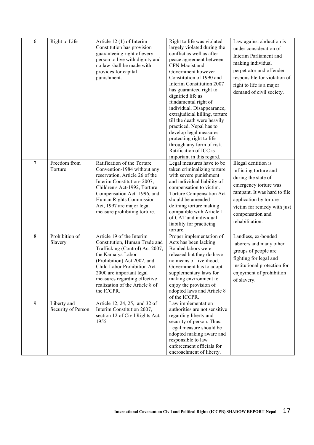| 6              | Right to Life                     | Article 12 (1) of Interim<br>Constitution has provision<br>guaranteeing right of every<br>person to live with dignity and<br>no law shall be made with<br>provides for capital<br>punishment.                                                                                                 | Right to life was violated<br>largely violated during the<br>conflict as well as after<br>peace agreement between<br>CPN Maoist and<br>Government however<br>Constitution of 1990 and<br>Interim Constitution 2007<br>has guaranteed right to<br>dignified life as<br>fundamental right of<br>individual. Disappearance,<br>extrajudicial killing, torture<br>till the death were heavily<br>practiced. Nepal has to<br>develop legal measures<br>protecting right to life<br>through any form of risk.<br>Ratification of ICC is<br>important in this regard. | Law against abduction is<br>under consideration of<br>Interim Parliament and<br>making individual<br>perpetrator and offender<br>responsible for violation of<br>right to life is a major<br>demand of civil society.          |
|----------------|-----------------------------------|-----------------------------------------------------------------------------------------------------------------------------------------------------------------------------------------------------------------------------------------------------------------------------------------------|----------------------------------------------------------------------------------------------------------------------------------------------------------------------------------------------------------------------------------------------------------------------------------------------------------------------------------------------------------------------------------------------------------------------------------------------------------------------------------------------------------------------------------------------------------------|--------------------------------------------------------------------------------------------------------------------------------------------------------------------------------------------------------------------------------|
| $\overline{7}$ | Freedom from<br>Torture           | Ratification of the Torture<br>Convention-1984 without any<br>reservation, Article 26 of the<br>Interim Constitution-2007,<br>Children's Act-1992, Torture<br>Compensation Act-1996, and<br>Human Rights Commission<br>Act, 1997 are major legal<br>measure prohibiting torture.              | Legal measures have to be<br>taken criminalizing torture<br>with severe punishment<br>and individual liability of<br>compensation to victim.<br><b>Torture Compensation Act</b><br>should be amended<br>defining torture making<br>compatible with Article 1<br>of CAT and individual<br>liability for practicing<br>torture.                                                                                                                                                                                                                                  | Illegal dentition is<br>inflicting torture and<br>during the state of<br>emergency torture was<br>rampant. It was hard to file<br>application by torture<br>victim for remedy with just<br>compensation and<br>rehabilitation. |
| 8              | Prohibition of<br>Slavery         | Article 19 of the Interim<br>Constitution, Human Trade and<br>Trafficking (Control) Act 2007,<br>the Kamaiya Labor<br>(Prohibition) Act 2002, and<br>Child Labor Prohibition Act<br>2000 are important legal<br>measures regarding effective<br>realization of the Article 8 of<br>the ICCPR. | Proper implementation of<br>Acts has been lacking.<br>Bonded labors were<br>released but they do have<br>no means of livelihood.<br>Government has to adopt<br>supplementary laws for<br>making environment to<br>enjoy the provision of<br>adopted laws and Article 8<br>of the ICCPR.                                                                                                                                                                                                                                                                        | Landless, ex-bonded<br>laborers and many other<br>groups of people are<br>fighting for legal and<br>institutional protection for<br>enjoyment of prohibition<br>of slavery.                                                    |
| 9              | Liberty and<br>Security of Person | Article 12, 24, 25, and 32 of<br>Interim Constitution 2007,<br>section 12 of Civil Rights Act,<br>1955                                                                                                                                                                                        | Law implementation<br>authorities are not sensitive<br>regarding liberty and<br>security of person. Thus;<br>Legal measure should be<br>adopted making aware and<br>responsible to law<br>enforcement officials for<br>encroachment of liberty.                                                                                                                                                                                                                                                                                                                |                                                                                                                                                                                                                                |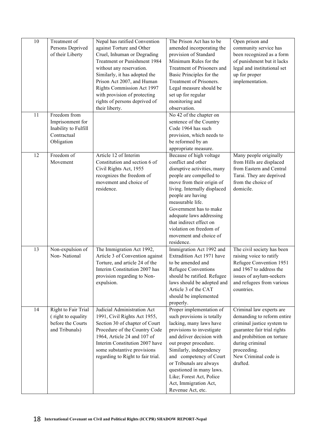| 10 | Treatment of<br>Persons Deprived<br>of their Liberty                                  | Nepal has ratified Convention<br>against Torture and Other<br>Cruel, Inhuman or Degrading<br>Treatment or Punishment 1984<br>without any reservation.<br>Similarly, it has adopted the<br>Prison Act 2007, and Human<br>Rights Commission Act 1997<br>with provision of protecting<br>rights of persons deprived of<br>their liberty. | The Prison Act has to be<br>amended incorporating the<br>provision of Standard<br>Minimum Rules for the<br>Treatment of Prisoners and<br>Basic Principles for the<br>Treatment of Prisoners.<br>Legal measure should be<br>set up for regular<br>monitoring and<br>observation.                                                                                   | Open prison and<br>community service has<br>been recognized as a form<br>of punishment but it lacks<br>legal and institutional set<br>up for proper<br>implementation.                                                  |
|----|---------------------------------------------------------------------------------------|---------------------------------------------------------------------------------------------------------------------------------------------------------------------------------------------------------------------------------------------------------------------------------------------------------------------------------------|-------------------------------------------------------------------------------------------------------------------------------------------------------------------------------------------------------------------------------------------------------------------------------------------------------------------------------------------------------------------|-------------------------------------------------------------------------------------------------------------------------------------------------------------------------------------------------------------------------|
| 11 | Freedom from<br>Imprisonment for<br>Inability to Fulfill<br>Contractual<br>Obligation |                                                                                                                                                                                                                                                                                                                                       | No 42 of the chapter on<br>sentence of the Country<br>Code 1964 has such<br>provision, which needs to<br>be reformed by an<br>appropriate measure.                                                                                                                                                                                                                |                                                                                                                                                                                                                         |
| 12 | Freedom of<br>Movement                                                                | Article 12 of Interim<br>Constitution and section 6 of<br>Civil Rights Act, 1955<br>recognizes the freedom of<br>movement and choice of<br>residence.                                                                                                                                                                                 | Because of high voltage<br>conflict and other<br>disruptive activities, many<br>people are compelled to<br>move from their origin of<br>living. Internally displaced<br>people are having<br>measurable life.<br>Government has to make<br>adequate laws addressing<br>that indirect effect on<br>violation on freedom of<br>movement and choice of<br>residence. | Many people originally<br>from Hills are displaced<br>from Eastern and Central<br>Tarai. They are deprived<br>from the choice of<br>domicile.                                                                           |
| 13 | Non-expulsion of<br>Non-National                                                      | The Immigration Act 1992,<br>Article 3 of Convention against<br>Torture, and article 24 of the<br>Interim Constitution 2007 has<br>provision regarding to Non-<br>expulsion.                                                                                                                                                          | Immigration Act 1992 and<br>Extradition Act 1971 have<br>to be amended and<br><b>Refugee Conventions</b><br>should be ratified. Refugee<br>laws should be adopted and<br>Article 3 of the CAT<br>should be implemented<br>properly.                                                                                                                               | The civil society has been<br>raising voice to ratify<br>Refugee Convention 1951<br>and 1967 to address the<br>issues of asylum-seekers<br>and refugees from various<br>countries.                                      |
| 14 | Right to Fair Trial<br>(right to equality)<br>before the Courts<br>and Tribunals)     | Judicial Administration Act<br>1991, Civil Rights Act 1955,<br>Section 30 of chapter of Court<br>Procedure of the Country Code<br>1964, Article 24 and 107 of<br>Interim Constitution 2007 have<br>some substantive provisions<br>regarding to Right to fair trial.                                                                   | Proper implementation of<br>such provisions is totally<br>lacking, many laws have<br>provisions to investigate<br>and deliver decision with<br>out proper procedure.<br>Similarly, independency<br>and competency of Court<br>or Tribunals are always<br>questioned in many laws.<br>Like; Forest Act, Police<br>Act, Immigration Act,<br>Revenue Act, etc.       | Criminal law experts are<br>demanding to reform entire<br>criminal justice system to<br>guarantee fair trial rights<br>and prohibition on torture<br>during criminal<br>proceeding.<br>New Criminal code is<br>drafted. |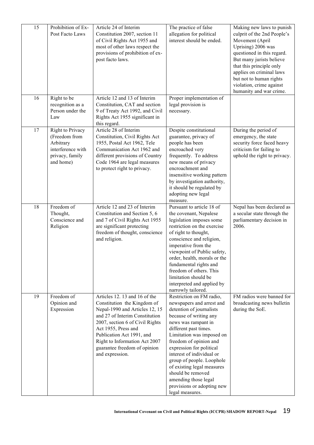| 15 | Prohibition of Ex-<br>Post Facto Laws                                                               | Article 24 of Interim<br>Constitution 2007, section 11<br>of Civil Rights Act 1955 and<br>most of other laws respect the<br>provisions of prohibition of ex-<br>post facto laws.                                                                                                                            | The practice of false<br>allegation for political<br>interest should be ended.                                                                                                                                                                                                                                                                                                                                                       | Making new laws to punish<br>culprit of the 2nd People's<br>Movement (April<br>Uprising) 2006 was<br>questioned in this regard.<br>But many jurists believe<br>that this principle only<br>applies on criminal laws<br>but not to human rights<br>violation, crime against<br>humanity and war crime. |
|----|-----------------------------------------------------------------------------------------------------|-------------------------------------------------------------------------------------------------------------------------------------------------------------------------------------------------------------------------------------------------------------------------------------------------------------|--------------------------------------------------------------------------------------------------------------------------------------------------------------------------------------------------------------------------------------------------------------------------------------------------------------------------------------------------------------------------------------------------------------------------------------|-------------------------------------------------------------------------------------------------------------------------------------------------------------------------------------------------------------------------------------------------------------------------------------------------------|
| 16 | Right to be<br>recognition as a<br>Person under the<br>Law                                          | Article 12 and 13 of Interim<br>Constitution, CAT and section<br>9 of Treaty Act 1992, and Civil<br>Rights Act 1955 significant in<br>this regard.                                                                                                                                                          | Proper implementation of<br>legal provision is<br>necessary.                                                                                                                                                                                                                                                                                                                                                                         |                                                                                                                                                                                                                                                                                                       |
| 17 | Right to Privacy<br>(Freedom from<br>Arbitrary<br>interference with<br>privacy, family<br>and home) | Article 28 of Interim<br>Constitution, Civil Rights Act<br>1955, Postal Act 1962, Tele<br>Communication Act 1962 and<br>different provisions of Country<br>Code 1964 are legal measures<br>to protect right to privacy.                                                                                     | Despite constitutional<br>guarantee, privacy of<br>people has been<br>encroached very<br>frequently. To address<br>new means of privacy<br>encroachment and<br>insensitive working pattern<br>by investigation authority,<br>it should be regulated by<br>adopting new legal<br>measure.                                                                                                                                             | During the period of<br>emergency, the state<br>security force faced heavy<br>criticism for failing to<br>uphold the right to privacy.                                                                                                                                                                |
| 18 | Freedom of<br>Thought,<br>Conscience and<br>Religion                                                | Article 12 and 23 of Interim<br>Constitution and Section 5, 6<br>and 7 of Civil Rights Act 1955<br>are significant protecting<br>freedom of thought, conscience<br>and religion.                                                                                                                            | Pursuant to article 18 of<br>the covenant, Nepalese<br>legislation imposes some<br>restriction on the exercise<br>of right to thought,<br>conscience and religion,<br>imperative from the<br>viewpoint of Public safety,<br>order, health, morals or the<br>fundamental rights and<br>freedom of others. This<br>limitation should be<br>interpreted and applied by<br>narrowly tailored.                                            | Nepal has been declared as<br>a secular state through the<br>parliamentary decision in<br>2006.                                                                                                                                                                                                       |
| 19 | Freedom of<br>Opinion and<br>Expression                                                             | Articles 12. 13 and 16 of the<br>Constitution the Kingdom of<br>Nepal-1990 and Articles 12, 15<br>and 27 of Interim Constitution<br>2007, section 6 of Civil Rights<br>Act 1955, Press and<br>Publication Act 1991, and<br>Right to Information Act 2007<br>guarantee freedom of opinion<br>and expression. | Restriction on FM radio,<br>newspapers and arrest and<br>detention of journalists<br>because of writing any<br>news was rampant in<br>different past times.<br>Limitation was imposed on<br>freedom of opinion and<br>expression for political<br>interest of individual or<br>group of people. Loophole<br>of existing legal measures<br>should be removed<br>amending those legal<br>provisions or adopting new<br>legal measures. | FM radios were banned for<br>broadcasting news bulletin<br>during the SoE.                                                                                                                                                                                                                            |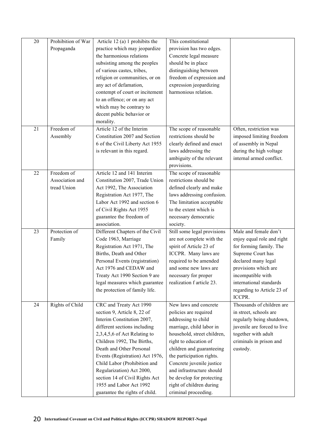| 20 | Prohibition of War | Article 12 (a) 1 prohibits the                                  | This constitutional                             |                                              |
|----|--------------------|-----------------------------------------------------------------|-------------------------------------------------|----------------------------------------------|
|    | Propaganda         | practice which may jeopardize                                   | provision has two edges.                        |                                              |
|    |                    | the harmonious relations                                        | Concrete legal measure                          |                                              |
|    |                    | subsisting among the peoples                                    | should be in place                              |                                              |
|    |                    | of various castes, tribes,                                      | distinguishing between                          |                                              |
|    |                    | religion or communities, or on                                  | freedom of expression and                       |                                              |
|    |                    | any act of defamation,                                          | expression jeopardizing                         |                                              |
|    |                    | contempt of court or incitement                                 | harmonious relation.                            |                                              |
|    |                    | to an offence; or on any act                                    |                                                 |                                              |
|    |                    | which may be contrary to                                        |                                                 |                                              |
|    |                    | decent public behavior or                                       |                                                 |                                              |
|    |                    | morality.                                                       |                                                 |                                              |
| 21 | Freedom of         | Article 12 of the Interim                                       | The scope of reasonable                         | Often, restriction was                       |
|    | Assembly           | Constitution 2007 and Section                                   | restrictions should be                          | imposed limiting freedom                     |
|    |                    | 6 of the Civil Liberty Act 1955                                 | clearly defined and enact                       | of assembly in Nepal                         |
|    |                    | is relevant in this regard.                                     | laws addressing the                             | during the high voltage                      |
|    |                    |                                                                 | ambiguity of the relevant                       | internal armed conflict.                     |
|    |                    |                                                                 | provisions.                                     |                                              |
| 22 | Freedom of         | Article 12 and 141 Interim                                      | The scope of reasonable                         |                                              |
|    | Association and    | Constitution 2007, Trade Union                                  | restrictions should be                          |                                              |
|    | tread Union        | Act 1992, The Association                                       | defined clearly and make                        |                                              |
|    |                    | Registration Act 1977, The                                      | laws addressing confusion.                      |                                              |
|    |                    | Labor Act 1992 and section 6                                    | The limitation acceptable                       |                                              |
|    |                    | of Civil Rights Act 1955                                        | to the extent which is                          |                                              |
|    |                    | guarantee the freedom of                                        | necessary democratic                            |                                              |
|    |                    | association.                                                    | society.                                        |                                              |
| 23 | Protection of      | Different Chapters of the Civil                                 | Still some legal provisions                     | Male and female don't                        |
|    | Family             | Code 1963, Marriage                                             | are not complete with the                       | enjoy equal role and right                   |
|    |                    | Registration Act 1971, The                                      | spirit of Article 23 of                         | for forming family. The                      |
|    |                    | Births, Death and Other                                         | ICCPR. Many laws are                            | Supreme Court has                            |
|    |                    | Personal Events (registration)                                  | required to be amended<br>and some new laws are | declared many legal                          |
|    |                    | Act 1976 and CEDAW and                                          | necessary for proper                            | provisions which are                         |
|    |                    | Treaty Act 1990 Section 9 are<br>legal measures which guarantee | realization f article 23.                       | incompatible with<br>international standards |
|    |                    | the protection of family life.                                  |                                                 | regarding to Article 23 of                   |
|    |                    |                                                                 |                                                 | ICCPR.                                       |
| 24 | Rights of Child    | CRC and Treaty Act 1990                                         | New laws and concrete                           | Thousands of children are                    |
|    |                    | section 9, Article 8, 22 of                                     | policies are required                           | in street, schools are                       |
|    |                    | Interim Constitution 2007,                                      | addressing to child                             | regularly being shutdown,                    |
|    |                    | different sections including                                    | marriage, child labor in                        | juvenile are forced to live                  |
|    |                    | 2,3,4,5,6 of Act Relating to                                    | household, street children,                     | together with adult                          |
|    |                    | Children 1992, The Births,                                      | right to education of                           | criminals in prison and                      |
|    |                    | Death and Other Personal                                        | children and guaranteeing                       | custody.                                     |
|    |                    | Events (Registration) Act 1976,                                 | the participation rights.                       |                                              |
|    |                    | Child Labor (Prohibition and                                    | Concrete juvenile justice                       |                                              |
|    |                    | Regularization) Act 2000,                                       | and infrastructure should                       |                                              |
|    |                    | section 14 of Civil Rights Act                                  | be develop for protecting                       |                                              |
|    |                    | 1955 and Labor Act 1992                                         | right of children during                        |                                              |
|    |                    | guarantee the rights of child.                                  | criminal proceeding.                            |                                              |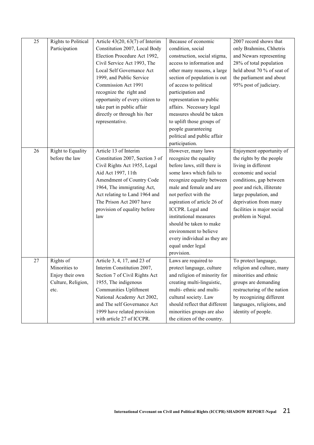| 25 | Rights to Political | Article $43(20, 63(7)$ of Interim         | Because of economic           | 2007 record shows that      |
|----|---------------------|-------------------------------------------|-------------------------------|-----------------------------|
|    | Participation       | Constitution 2007, Local Body             | condition, social             | only Brahmins, Chhetris     |
|    |                     | Election Procedure Act 1992,              | construction, social stigma,  | and Newars representing     |
|    |                     | Civil Service Act 1993, The               | access to information and     | 28% of total population     |
|    |                     | Local Self Governance Act                 | other many reasons, a large   | held about 70 % of seat of  |
|    |                     | 1999, and Public Service                  | section of population is out  | the parliament and about    |
|    |                     | Commission Act 1991                       | of access to political        | 95% post of judiciary.      |
|    |                     | recognize the right and                   | participation and             |                             |
|    |                     | opportunity of every citizen to           | representation to public      |                             |
|    |                     | take part in public affair                | affairs. Necessary legal      |                             |
|    |                     | directly or through his /her              | measures should be taken      |                             |
|    |                     | representative.                           | to uplift those groups of     |                             |
|    |                     |                                           | people guaranteeing           |                             |
|    |                     |                                           | political and public affair   |                             |
|    |                     |                                           | participation.                |                             |
| 26 | Right to Equality   | Article 13 of Interim                     | However, many laws            | Enjoyment opportunity of    |
|    | before the law      | Constitution 2007, Section 3 of           | recognize the equality        | the rights by the people    |
|    |                     | Civil Rights Act 1955, Legal              | before laws, still there is   | living in different         |
|    |                     | Aid Act 1997, 11th                        | some laws which fails to      | economic and social         |
|    |                     | Amendment of Country Code                 | recognize equality between    | conditions, gap between     |
|    |                     | 1964, The immigrating Act,                | male and female and are       | poor and rich, illiterate   |
|    |                     | Act relating to Land 1964 and             | not perfect with the          | large population, and       |
|    |                     | The Prison Act 2007 have                  | aspiration of article 26 of   | deprivation from many       |
|    |                     | provision of equality before              | ICCPR. Legal and              | facilities is major social  |
|    |                     | law                                       | institutional measures        | problem in Nepal.           |
|    |                     |                                           | should be taken to make       |                             |
|    |                     |                                           | environment to believe        |                             |
|    |                     |                                           | every individual as they are  |                             |
|    |                     |                                           | equal under legal             |                             |
|    |                     |                                           | provision.                    |                             |
| 27 | Rights of           | Article 3, 4, $\overline{17}$ , and 23 of | Laws are required to          | To protect language,        |
|    | Minorities to       | Interim Constitution 2007,                | protect language, culture     | religion and culture, many  |
|    | Enjoy their own     | Section 7 of Civil Rights Act             | and religion of minority for  | minorities and ethnic       |
|    | Culture, Religion,  | 1955, The indigenous                      | creating multi-linguistic,    | groups are demanding        |
|    | etc.                | Communities Upliftment                    | multi-ethnic and multi-       | restructuring of the nation |
|    |                     | National Academy Act 2002,                | cultural society. Law         | by recognizing different    |
|    |                     | and The self Governance Act               | should reflect that different | languages, religions, and   |
|    |                     | 1999 have related provision               | minorities groups are also    | identity of people.         |
|    |                     | with article 27 of ICCPR.                 | the citizen of the country.   |                             |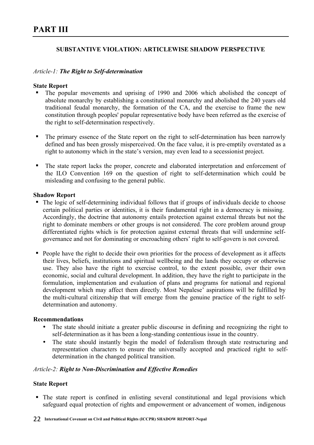# **SUBSTANTIVE VIOLATION: ARTICLEWISE SHADOW PERSPECTIVE**

### *Article-1: The Right to Self-determination*

### **State Report**

- ! The popular movements and uprising of 1990 and 2006 which abolished the concept of absolute monarchy by establishing a constitutional monarchy and abolished the 240 years old traditional feudal monarchy, the formation of the CA, and the exercise to frame the new constitution through peoples' popular representative body have been referred as the exercise of the right to self-determination respectively.
- ! The primary essence of the State report on the right to self-determination has been narrowly defined and has been grossly misperceived. On the face value, it is pre-emptily overstated as a right to autonomy which in the state's version, may even lead to a secessionist project.
- ! The state report lacks the proper, concrete and elaborated interpretation and enforcement of the ILO Convention 169 on the question of right to self-determination which could be misleading and confusing to the general public.

### **Shadow Report**

- ! The logic of self-determining individual follows that if groups of individuals decide to choose certain political parties or identities, it is their fundamental right in a democracy is missing. Accordingly, the doctrine that autonomy entails protection against external threats but not the right to dominate members or other groups is not considered. The core problem around group differentiated rights which is for protection against external threats that will undermine selfgovernance and not for dominating or encroaching others' right to self-govern is not covered.
- ! People have the right to decide their own priorities for the process of development as it affects their lives, beliefs, institutions and spiritual wellbeing and the lands they occupy or otherwise use. They also have the right to exercise control, to the extent possible, over their own economic, social and cultural development. In addition, they have the right to participate in the formulation, implementation and evaluation of plans and programs for national and regional development which may affect them directly. Most Nepalese' aspirations will be fulfilled by the multi-cultural citizenship that will emerge from the genuine practice of the right to selfdetermination and autonomy.

### **Recommendations**

- The state should initiate a greater public discourse in defining and recognizing the right to self-determination as it has been a long-standing contentious issue in the country.
- The state should instantly begin the model of federalism through state restructuring and representation characters to ensure the universally accepted and practiced right to selfdetermination in the changed political transition.

### *Article-2: Right to Non-Discrimination and Effective Remedies*

### **State Report**

! The state report is confined in enlisting several constitutional and legal provisions which safeguard equal protection of rights and empowerment or advancement of women, indigenous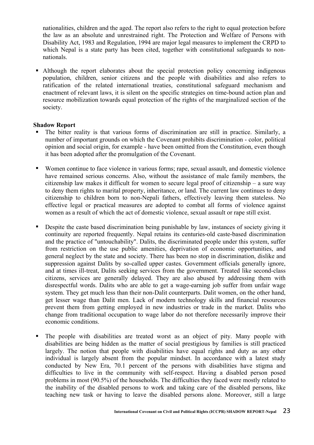nationalities, children and the aged. The report also refers to the right to equal protection before the law as an absolute and unrestrained right. The Protection and Welfare of Persons with Disability Act, 1983 and Regulation, 1994 are major legal measures to implement the CRPD to which Nepal is a state party has been cited, together with constitutional safeguards to nonnationals.

! Although the report elaborates about the special protection policy concerning indigenous population, children, senior citizens and the people with disabilities and also refers to ratification of the related international treaties, constitutional safeguard mechanism and enactment of relevant laws, it is silent on the specific strategies on time-bound action plan and resource mobilization towards equal protection of the rights of the marginalized section of the society.

- ! The bitter reality is that various forms of discrimination are still in practice. Similarly, a number of important grounds on which the Covenant prohibits discrimination - color, political opinion and social origin, for example - have been omitted from the Constitution, even though it has been adopted after the promulgation of the Covenant.
- ! Women continue to face violence in various forms; rape, sexual assault, and domestic violence have remained serious concerns. Also, without the assistance of male family members, the citizenship law makes it difficult for women to secure legal proof of citizenship – a sure way to deny them rights to marital property, inheritance, or land. The current law continues to deny citizenship to children born to non-Nepali fathers, effectively leaving them stateless. No effective legal or practical measures are adopted to combat all forms of violence against women as a result of which the act of domestic violence, sexual assault or rape still exist.
- ! Despite the caste based discrimination being punishable by law, instances of society giving it continuity are reported frequently. Nepal retains its centuries-old caste-based discrimination and the practice of "untouchability". Dalits, the discriminated people under this system, suffer from restriction on the use public amenities, deprivation of economic opportunities, and general neglect by the state and society. There has been no stop in discrimination, dislike and suppression against Dalits by so-called upper castes. Government officials generally ignore, and at times ill-treat, Dalits seeking services from the government. Treated like second-class citizens, services are generally delayed. They are also abused by addressing them with disrespectful words. Dalits who are able to get a wage-earning job suffer from unfair wage system. They get much less than their non-Dalit counterparts. Dalit women, on the other hand, get lesser wage than Dalit men. Lack of modern technology skills and financial resources prevent them from getting employed in new industries or trade in the market. Dalits who change from traditional occupation to wage labor do not therefore necessarily improve their economic conditions.
- ! The people with disabilities are treated worst as an object of pity. Many people with disabilities are being hidden as the matter of social prestigious by families is still practiced largely. The notion that people with disabilities have equal rights and duty as any other individual is largely absent from the popular mindset. In accordance with a latest study conducted by New Era, 70.1 percent of the persons with disabilities have stigma and difficulties to live in the community with self-respect. Having a disabled person posed problems in most (90.5%) of the households. The difficulties they faced were mostly related to the inability of the disabled persons to work and taking care of the disabled persons, like teaching new task or having to leave the disabled persons alone. Moreover, still a large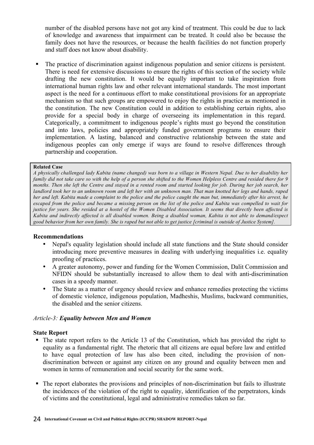number of the disabled persons have not got any kind of treatment. This could be due to lack of knowledge and awareness that impairment can be treated. It could also be because the family does not have the resources, or because the health facilities do not function properly and staff does not know about disability.

! The practice of discrimination against indigenous population and senior citizens is persistent. There is need for extensive discussions to ensure the rights of this section of the society while drafting the new constitution. It would be equally important to take inspiration from international human rights law and other relevant international standards. The most important aspect is the need for a continuous effort to make constitutional provisions for an appropriate mechanism so that such groups are empowered to enjoy the rights in practice as mentioned in the constitution. The new Constitution could in addition to establishing certain rights, also provide for a special body in charge of overseeing its implementation in this regard. Categorically, a commitment to indigenous people's rights must go beyond the constitution and into laws, policies and appropriately funded government programs to ensure their implementation. A lasting, balanced and constructive relationship between the state and indigenous peoples can only emerge if ways are found to resolve differences through partnership and cooperation.

### **Related Case**

*A physically challenged lady Kabita (name changed) was born to a village in Western Nepal. Due to her disability her family did not take care so with the help of a person she shifted to the Women Helpless Centre and resided there for 9 months. Then she left the Centre and stayed in a rented room and started looking for job. During her job search, her landlord took her to an unknown room and left her with an unknown man. That man knotted her legs and hands, raped her and left. Kabita made a complaint to the police and the police caught the man but, immediately after his arrest, he escaped from the police and became a missing person on the list of the police and Kabita was compelled to wait for justice for years. She resided at a hostel of the Women Disabled Association. It seems that directly been affected is Kabita and indirectly affected is all disabled women. Being a disabled woman, Kabita is not able to demand/expect good behavior from her own family. She is raped but not able to get justice [criminal is outside of Justice System].*

### **Recommendations**

- Nepal's equality legislation should include all state functions and the State should consider introducing more preventive measures in dealing with underlying inequalities i.e. equality proofing of practices.
- A greater autonomy, power and funding for the Women Commission, Dalit Commission and NFIDN should be substantially increased to allow them to deal with anti-discrimination cases in a speedy manner.
- The State as a matter of urgency should review and enhance remedies protecting the victims of domestic violence, indigenous population, Madheshis, Muslims, backward communities, the disabled and the senior citizens.

### *Article-3: Equality between Men and Women*

### **State Report**

- ! The state report refers to the Article 13 of the Constitution, which has provided the right to equality as a fundamental right. The rhetoric that all citizens are equal before law and entitled to have equal protection of law has also been cited, including the provision of nondiscrimination between or against any citizen on any ground and equality between men and women in terms of remuneration and social security for the same work.
- ! The report elaborates the provisions and principles of non-discrimination but fails to illustrate the incidences of the violation of the right to equality, identification of the perpetrators, kinds of victims and the constitutional, legal and administrative remedies taken so far.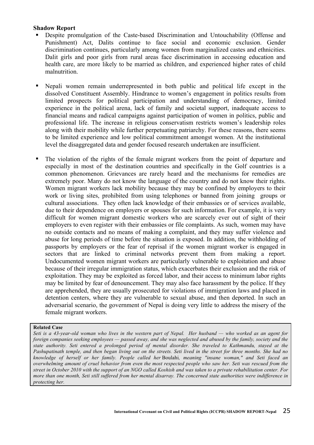### **Shadow Report**

- ! Despite promulgation of the Caste-based Discrimination and Untouchability (Offense and Punishment) Act, Dalits continue to face social and economic exclusion. Gender discrimination continues, particularly among women from marginalized castes and ethnicities. Dalit girls and poor girls from rural areas face discrimination in accessing education and health care, are more likely to be married as children, and experienced higher rates of child malnutrition.
- ! Nepali women remain underrepresented in both public and political life except in the dissolved Constituent Assembly. Hindrance to women's engagement in politics results from limited prospects for political participation and understanding of democracy, limited experience in the political arena, lack of family and societal support, inadequate access to financial means and radical campaigns against participation of women in politics, public and professional life. The increase in religious conservatism restricts women's leadership roles along with their mobility while further perpetuating patriarchy. For these reasons, there seems to be limited experience and low political commitment amongst women. At the institutional level the disaggregated data and gender focused research undertaken are insufficient.
- ! The violation of the rights of the female migrant workers from the point of departure and especially in most of the destination countries and specifically in the Golf countries is a common phenomenon. Grievances are rarely heard and the mechanisms for remedies are extremely poor. Many do not know the language of the country and do not know their rights. Women migrant workers lack mobility because they may be confined by employers to their work or living sites, prohibited from using telephones or banned from joining groups or cultural associations. They often lack knowledge of their embassies or of services available, due to their dependence on employers or spouses for such information. For example, it is very difficult for women migrant domestic workers who are scarcely ever out of sight of their employers to even register with their embassies or file complaints. As such, women may have no outside contacts and no means of making a complaint, and they may suffer violence and abuse for long periods of time before the situation is exposed. In addition, the withholding of passports by employers or the fear of reprisal if the women migrant worker is engaged in sectors that are linked to criminal networks prevent them from making a report. Undocumented women migrant workers are particularly vulnerable to exploitation and abuse because of their irregular immigration status, which exacerbates their exclusion and the risk of exploitation. They may be exploited as forced labor, and their access to minimum labor rights may be limited by fear of denouncement. They may also face harassment by the police. If they are apprehended, they are usually prosecuted for violations of immigration laws and placed in detention centers, where they are vulnerable to sexual abuse, and then deported. In such an adversarial scenario, the government of Nepal is doing very little to address the misery of the female migrant workers.

### **Related Case**

*Seti is a 43-year-old woman who lives in the western part of Nepal. Her husband — who worked as an agent for foreign companies seeking employees — passed away, and she was neglected and abused by the family, society and the state authority. Seti entered a prolonged period of mental disorder. She traveled to Kathmandu, stayed at the Pashupatinath temple, and then began living out on the streets. Seti lived in the street for three months. She had no knowledge of herself or her family. People called her* Boulahi*, meaning "insane woman," and Seti faced an overwhelming amount of cruel behavior from even the most respected people who saw her. Seti was rescued from the street in October 2010 with the support of an NGO called Koshish and was taken to a private rehabilitation center. For more than one month, Seti still suffered from her mental disarray. The concerned state authorities were indifference in protecting her.*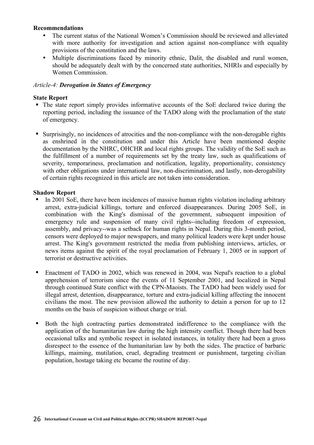### **Recommendations**

- The current status of the National Women's Commission should be reviewed and alleviated with more authority for investigation and action against non-compliance with equality provisions of the constitution and the laws.
- Multiple discriminations faced by minority ethnic, Dalit, the disabled and rural women, should be adequately dealt with by the concerned state authorities, NHRIs and especially by Women Commission.

### *Article-4: Derogation in States of Emergency*

### **State Report**

- ! The state report simply provides informative accounts of the SoE declared twice during the reporting period, including the issuance of the TADO along with the proclamation of the state of emergency.
- ! Surprisingly, no incidences of atrocities and the non-compliance with the non-derogable rights as enshrined in the constitution and under this Article have been mentioned despite documentation by the NHRC, OHCHR and local rights groups. The validity of the SoE such as the fulfillment of a number of requirements set by the treaty law, such as qualifications of severity, temporariness, proclamation and notification, legality, proportionality, consistency with other obligations under international law, non-discrimination, and lastly, non-derogability of certain rights recognized in this article are not taken into consideration.

- ! In 2001 SoE, there have been incidences of massive human rights violation including arbitrary arrest, extra-judicial killings, torture and enforced disappearances. During 2005 SoE, in combination with the King's dismissal of the government, subsequent imposition of emergency rule and suspension of many civil rights--including freedom of expression, assembly, and privacy--was a setback for human rights in Nepal. During this 3-month period, censors were deployed to major newspapers, and many political leaders were kept under house arrest. The King's government restricted the media from publishing interviews, articles, or news items against the spirit of the royal proclamation of February 1, 2005 or in support of terrorist or destructive activities.
- ! Enactment of TADO in 2002, which was renewed in 2004, was Nepal's reaction to a global apprehension of terrorism since the events of 11 September 2001, and localized in Nepal through continued State conflict with the CPN-Maoists. The TADO had been widely used for illegal arrest, detention, disappearance, torture and extra-judicial killing affecting the innocent civilians the most. The new provision allowed the authority to detain a person for up to 12 months on the basis of suspicion without charge or trial.
- ! Both the high contracting parties demonstrated indifference to the compliance with the application of the humanitarian law during the high intensity conflict. Though there had been occasional talks and symbolic respect in isolated instances, in totality there had been a gross disrespect to the essence of the humanitarian law by both the sides. The practice of barbaric killings, maiming, mutilation, cruel, degrading treatment or punishment, targeting civilian population, hostage taking etc became the routine of day.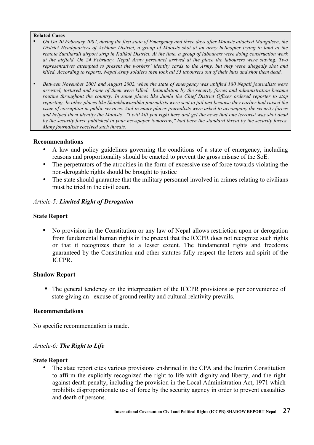#### **Related Cases**

- ! *On On 20 February 2002, during the first state of Emergency and three days after Maoists attacked Mangalsen, the District Headquarters of Achham District, a group of Maoists shot at an army helicopter trying to land at the remote Suntharali airport strip in Kalikot District. At the time, a group of labourers were doing construction work at the airfield. On 24 February, Nepal Army personnel arrived at the place the labourers were staying. Two representatives attempted to present the workers' identity cards to the Army, but they were allegedly shot and killed. According to reports, Nepal Army soldiers then took all 35 labourers out of their huts and shot them dead.*
- ! *Between November 2001 and August 2002, when the state of emergency was uplifted 180 Nepali journalists were arrested, tortured and some of them were killed. Intimidation by the security forces and administration became routine throughout the country. In some places like Jumla the Chief District Officer ordered reporter to stop reporting. In other places like Shankhuwasabha journalists were sent to jail just because they earlier had raised the issue of corruption in public services. And in many places journalists were asked to accompany the security forces and helped them identify the Maoists. "I will kill you right here and get the news that one terrorist was shot dead by the security force published in your newspaper tomorrow," had been the standard threat by the security forces. Many journalists received such threats.*

### **Recommendations**

- A law and policy guidelines governing the conditions of a state of emergency, including reasons and proportionality should be enacted to prevent the gross misuse of the SoE.
- The perpetrators of the atrocities in the form of excessive use of force towards violating the non-derogable rights should be brought to justice
- The state should guarantee that the military personnel involved in crimes relating to civilians must be tried in the civil court.

### *Article-5: Limited Right of Derogation*

### **State Report**

! No provision in the Constitution or any law of Nepal allows restriction upon or derogation from fundamental human rights in the pretext that the ICCPR does not recognize such rights or that it recognizes them to a lesser extent. The fundamental rights and freedoms guaranteed by the Constitution and other statutes fully respect the letters and spirit of the ICCPR.

### **Shadow Report**

! The general tendency on the interpretation of the ICCPR provisions as per convenience of state giving an excuse of ground reality and cultural relativity prevails.

### **Recommendations**

No specific recommendation is made.

### *Article-6: The Right to Life*

### **State Report**

The state report cites various provisions enshrined in the CPA and the Interim Constitution to affirm the explicitly recognized the right to life with dignity and liberty, and the right against death penalty, including the provision in the Local Administration Act, 1971 which prohibits disproportionate use of force by the security agency in order to prevent casualties and death of persons.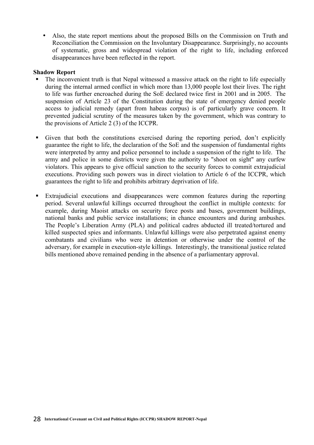• Also, the state report mentions about the proposed Bills on the Commission on Truth and Reconciliation the Commission on the Involuntary Disappearance. Surprisingly, no accounts of systematic, gross and widespread violation of the right to life, including enforced disappearances have been reflected in the report.

- ! The inconvenient truth is that Nepal witnessed a massive attack on the right to life especially during the internal armed conflict in which more than 13,000 people lost their lives. The right to life was further encroached during the SoE declared twice first in 2001 and in 2005. The suspension of Article 23 of the Constitution during the state of emergency denied people access to judicial remedy (apart from habeas corpus) is of particularly grave concern. It prevented judicial scrutiny of the measures taken by the government, which was contrary to the provisions of Article 2 (3) of the ICCPR.
- ! Given that both the constitutions exercised during the reporting period, don't explicitly guarantee the right to life, the declaration of the SoE and the suspension of fundamental rights were interpreted by army and police personnel to include a suspension of the right to life. The army and police in some districts were given the authority to "shoot on sight" any curfew violators. This appears to give official sanction to the security forces to commit extrajudicial executions. Providing such powers was in direct violation to Article 6 of the ICCPR, which guarantees the right to life and prohibits arbitrary deprivation of life.
- ! Extrajudicial executions and disappearances were common features during the reporting period. Several unlawful killings occurred throughout the conflict in multiple contexts: for example, during Maoist attacks on security force posts and bases, government buildings, national banks and public service installations; in chance encounters and during ambushes. The People's Liberation Army (PLA) and political cadres abducted ill treated/tortured and killed suspected spies and informants. Unlawful killings were also perpetrated against enemy combatants and civilians who were in detention or otherwise under the control of the adversary, for example in execution-style killings. Interestingly, the transitional justice related bills mentioned above remained pending in the absence of a parliamentary approval.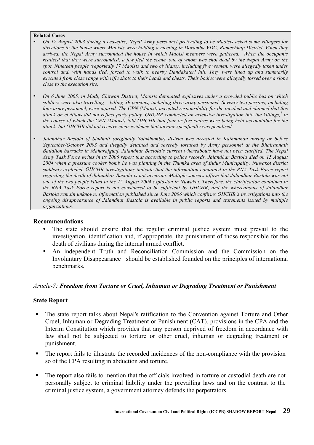#### **Related Cases**

- ! *On 17 August 2003 during a ceasefire, Nepal Army personnel pretending to be Maoists asked some villagers for directions to the house where Maoists were holding a meeting in Doramba VDC, Ramechhap District. When they arrived, the Nepal Army surrounded the house in which Maoist members were gathered. When the occupants realized that they were surrounded, a few fled the scene, one of whom was shot dead by the Nepal Army on the spot. Nineteen people (reportedly 17 Maoists and two civilians), including five women, were allegedly taken under control and, with hands tied, forced to walk to nearby Dandakateri hill. They were lined up and summarily executed from close range with rifle shots to their heads and chests. Their bodies were allegedly tossed over a slope close to the execution site.*
- ! *On 6 June 2005, in Madi, Chitwan District, Maoists detonated explosives under a crowded public bus on which soldiers were also travelling – killing 39 persons, including three army personnel. Seventy-two persons, including four army personnel, were injured. The CPN (Maoist) accepted responsibility for the incident and claimed that this attack on civilians did not reflect party policy. OHCHR conducted an extensive investigation into the killings,<sup>1</sup> in the course of which the CPN (Maoist) told OHCHR that four or five cadres were being held accountable for the attack, but OHCHR did not receive clear evidence that anyone specifically was penalised.*
- ! *Jalandhar Bastola of Sindhuli (originally Solukhumbu) district was arrested in Kathmandu during or before September/October 2003 and illegally detained and severely tortured by Army personnel at the Bhairabnath Battalion barracks in Maharajgunj. Jalandhar Bastola's current whereabouts have not been clarified. The Nepal Army Task Force writes in its 2006 report that according to police records, Jalandhar Bastola died on 15 August 2004 when a pressure cooker bomb he was planting in the Thumka area of Bidur Municipality, Nuwakot district suddenly exploded. OHCHR investigations indicate that the information contained in the RNA Task Force report regarding the death of Jalandhar Bastola is not accurate. Multiple sources affirm that Jalandhar Bastola was not one of the two people killed in the 15 August 2004 explosion in Nuwakot. Therefore, the clarification contained in the RNA Task Force report is not considered to be sufficient by OHCHR, and the whereabouts of Jalandhar Bastola remain unknown. Information published since June 2006 which confirms OHCHR's investigations into the ongoing disappearance of Jalandhar Bastola is available in public reports and statements issued by multiple organizations.*

### **Recommendations**

- The state should ensure that the regular criminal justice system must prevail to the investigation, identification and, if appropriate, the punishment of those responsible for the death of civilians during the internal armed conflict.
- An independent Truth and Reconciliation Commission and the Commission on the Involuntary Disappearance should be established founded on the principles of international benchmarks.

### *Article-7: Freedom from Torture or Cruel, Inhuman or Degrading Treatment or Punishment*

### **State Report**

- ! The state report talks about Nepal's ratification to the Convention against Torture and Other Cruel, Inhuman or Degrading Treatment or Punishment (CAT), provisions in the CPA and the Interim Constitution which provides that any person deprived of freedom in accordance with law shall not be subjected to torture or other cruel, inhuman or degrading treatment or punishment.
- ! The report fails to illustrate the recorded incidences of the non-compliance with the provision so of the CPA resulting in abduction and torture.
- ! The report also fails to mention that the officials involved in torture or custodial death are not personally subject to criminal liability under the prevailing laws and on the contrast to the criminal justice system, a government attorney defends the perpetrators.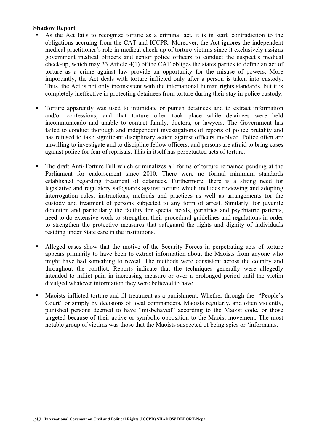- ! As the Act fails to recognize torture as a criminal act, it is in stark contradiction to the obligations accruing from the CAT and ICCPR. Moreover, the Act ignores the independent medical practitioner's role in medical check-up of torture victims since it exclusively assigns government medical officers and senior police officers to conduct the suspect's medical check-up, which may 33 Article 4(1) of the CAT obliges the states parties to define an act of torture as a crime against law provide an opportunity for the misuse of powers. More importantly, the Act deals with torture inflicted only after a person is taken into custody. Thus, the Act is not only inconsistent with the international human rights standards, but it is completely ineffective in protecting detainees from torture during their stay in police custody.
- ! Torture apparently was used to intimidate or punish detainees and to extract information and/or confessions, and that torture often took place while detainees were held incommunicado and unable to contact family, doctors, or lawyers. The Government has failed to conduct thorough and independent investigations of reports of police brutality and has refused to take significant disciplinary action against officers involved. Police often are unwilling to investigate and to discipline fellow officers, and persons are afraid to bring cases against police for fear of reprisals. This in itself has perpetuated acts of torture.
- ! The draft Anti-Torture Bill which criminalizes all forms of torture remained pending at the Parliament for endorsement since 2010. There were no formal minimum standards established regarding treatment of detainees. Furthermore, there is a strong need for legislative and regulatory safeguards against torture which includes reviewing and adopting interrogation rules, instructions, methods and practices as well as arrangements for the custody and treatment of persons subjected to any form of arrest. Similarly, for juvenile detention and particularly the facility for special needs, geriatrics and psychiatric patients, need to do extensive work to strengthen their procedural guidelines and regulations in order to strengthen the protective measures that safeguard the rights and dignity of individuals residing under State care in the institutions.
- ! Alleged cases show that the motive of the Security Forces in perpetrating acts of torture appears primarily to have been to extract information about the Maoists from anyone who might have had something to reveal. The methods were consistent across the country and throughout the conflict. Reports indicate that the techniques generally were allegedly intended to inflict pain in increasing measure or over a prolonged period until the victim divulged whatever information they were believed to have.
- ! Maoists inflicted torture and ill treatment as a punishment. Whether through the "People's Court" or simply by decisions of local commanders, Maoists regularly, and often violently, punished persons deemed to have "misbehaved" according to the Maoist code, or those targeted because of their active or symbolic opposition to the Maoist movement. The most notable group of victims was those that the Maoists suspected of being spies or 'informants.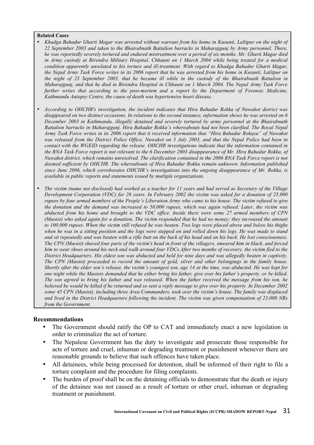#### **Related Cases**

- *Khadga Bahadur Gharti Magar was arrested without warrant from his home in Kusunti, Lalitpur on the night of 22 September 2003 and taken to the Bhairabnath Battalion barracks in Maharajgunj by Army personnel. There, he was reportedly severely tortured and endured mistreatment over a period of six months. Mr. Gharti Magar died in Army custody at Birendra Military Hospital, Chhauni on 1 March 2004 while being treated for a medical condition apparently unrelated to his torture and ill-treatment. With regard to Khadga Bahadur Gharti Magar, the Nepal Army Task Force writes in its 2006 report that he was arrested from his home in Kusunti, Lalitpur on the night of 23 September 2003, that he became ill while in the custody of the Bhairabnath Battalion in Maharajgunj, and that he died in Birendra Hospital in Chhauni on 1 March 2004. The Nepal Army Task Force further writes that according to the post-mortem and a report by the Department of Forensic Medicine, Kathmandu Autopsy Centre, the cause of death was hypertensive heart disease.*
- *According to OHCHR's investigation, the incident indicates that Hira Bahadur Rokka of Nuwakot district was disappeared on two distinct occasions. In relations to the second instance, information shows he was arrested on 6 December 2003 in Kathmandu, illegally detained and severely tortured by army personnel at the Bhairabnath Battalion barracks in Maharajgunj. Hira Bahadur Rokka's whereabouts had not been clarified. The Royal Nepal Army Task Force writes in its 2006 report that it received information that "Hira Bahadur Rokaya" of Nuwakot was released from the District Police Office, Nuwakot on 5 July 2003, and that the Nepal Police had been in contact with the WGEID regarding the release. OHCHR investigations indicate that the information contained in the RNA Task Force report is not relevant to the 6 December 2003 disappearance of Mr. Hira Bahadur Rokka, of Nuwakot district, which remains unresolved. The clarification contained in the 2006 RNA Task Force report is not deemed sufficient by OHCHR. The whereabouts of Hira Bahadur Rokka remain unknown. Information published since June 2006, which corroborates OHCHR's investigations into the ongoing disappearance of Mr. Rokka, is available in public reports and statements issued by multiple organizations.*
- *The victim (name not disclosed) had worked as a teacher for 11 years and had served as Secretary of the Village Development Corporation (VDC) for 28 years. In February 2002 the victim was asked for a donation of 25,000 rupees by four armed members of the People's Liberation Army who came to his house. The victim refused to give the donation and the demand was increased to 50,000 rupees, which was again refused. Later, the victim was abducted from his home and brought to the VDC office. Inside there were some 27 armed members of CPN (Maoist) who asked again for a donation. The victim responded that he had no money; they increased the amount to 100,000 rupees. When the victim still refused he was beaten. Two logs were placed above and below his thighs when he was in a sitting position and the logs were stepped on and rolled down his legs. He was made to stand and sit repeatedly and was beaten with a rifle butt on the back of his head and on his back. He lost consciousness. The CPN (Maoist) shaved four parts of the victim's head in front of the villagers, smeared him in black, and forced him to wear shoes around his neck and walk around four VDCs.After two months of recovery, the victim fled to the District Headquarters. His eldest son was abducted and held for nine days and was allegedly beaten in captivity. The CPN (Maoist) proceeded to record the amount of gold, silver and other belongings in the family house. Shortly after the elder son's release, the victim's youngest son, age 14 at the time, was abducted. He was kept for one night while the Maoists demanded that he either bring his father, give over his father's property, or be killed. The son agreed to bring his father and was released. When the father received the message from his son, he believed he would be killed if he returned and so sent a reply message to give over his property. In December 2002 some 45 CPN (Maoist), including three Area Commanders, took over the victim's house. The family was displaced and lived in the District Headquarters following the incident. The victim was given compensation of 23,000 NRs from the Government.*

### **Recommendations**

- The Government should ratify the OP to CAT and immediately enact a new legislation in order to criminalize the act of torture.
- The Nepalese Government has the duty to investigate and prosecute those responsible for acts of torture and cruel, inhuman or degrading treatment or punishment whenever there are reasonable grounds to believe that such offences have taken place.
- All detainees, while being processed for detention, shall be informed of their right to file a torture complaint and the procedure for filing complaints.
- The burden of proof shall be on the detaining officials to demonstrate that the death or injury of the detainee was not caused as a result of torture or other cruel, inhuman or degrading treatment or punishment.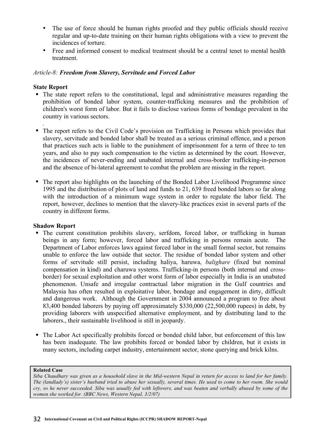- The use of force should be human rights proofed and they public officials should receive regular and up-to-date training on their human rights obligations with a view to prevent the incidences of torture.
- Free and informed consent to medical treatment should be a central tenet to mental health treatment.

### *Article-8: Freedom from Slavery, Servitude and Forced Labor*

### **State Report**

- ! The state report refers to the constitutional, legal and administrative measures regarding the prohibition of bonded labor system, counter-trafficking measures and the prohibition of children's worst form of labor. But it fails to disclose various forms of bondage prevalent in the country in various sectors.
- *.* ! The report refers to the Civil Code's provision on Trafficking in Persons which provides that slavery, servitude and bonded labor shall be treated as a serious criminal offence, and a person that practices such acts is liable to the punishment of imprisonment for a term of three to ten years, and also to pay such compensation to the victim as determined by the court. However, the incidences of never-ending and unabated internal and cross-border trafficking-in-person and the absence of bi-lateral agreement to combat the problem are missing in the report.
- ! The report also highlights on the launching of the Bonded Labor Livelihood Programme since 1995 and the distribution of plots of land and funds to 21, 639 freed bonded labors so far along with the introduction of a minimum wage system in order to regulate the labor field. The report, however, declines to mention that the slavery-like practices exist in several parts of the country in different forms.

### **Shadow Report**

- ! The current constitution prohibits slavery, serfdom, forced labor, or trafficking in human beings in any form; however, forced labor and trafficking in persons remain acute. The Department of Labor enforces laws against forced labor in the small formal sector, but remains unable to enforce the law outside that sector. The residue of bonded labor system and other forms of servitude still persist, including haliya, haruwa, *balighare* (fixed but nominal compensation in kind) and charuwa systems. Trafficking-in persons (both internal and crossborder) for sexual exploitation and other worst form of labor especially in India is an unabated phenomenon. Unsafe and irregular contractual labor migration in the Gulf countries and Malaysia has often resulted in exploitative labor, bondage and engagement in dirty, difficult and dangerous work. Although the Government in 2004 announced a program to free about 83,400 bonded laborers by paying off approximately \$330,000 (22,500,000 rupees) in debt, by providing laborers with unspecified alternative employment, and by distributing land to the laborers., their sustainable livelihood is still in jeopardy.
- ! The Labor Act specifically prohibits forced or bonded child labor, but enforcement of this law has been inadequate. The law prohibits forced or bonded labor by children, but it exists in many sectors, including carpet industry, entertainment sector, stone querying and brick kilns.

### **Related Case**

*Siba Chaudhary was given as a household slave in the Mid-western Nepal in return for access to land for her family. The (landlady's) sister's husband tried to abuse her sexually, several times. He used to come to her room. She would cry, so he never succeeded. Siba was usually fed with leftovers, and was beaten and verbally abused by some of the women she worked for. (BBC News, Western Nepal, 3/2/07)*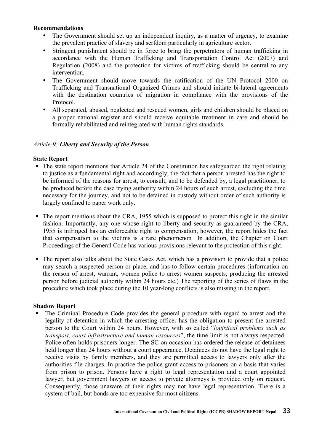### **Recommendations**

- The Government should set up an independent inquiry, as a matter of urgency, to examine the prevalent practice of slavery and serfdom particularly in agriculture sector.
- Stringent punishment should be in force to bring the perpetrators of human trafficking in accordance with the Human Trafficking and Transportation Control Act (2007) and Regulation (2008) and the protection for victims of trafficking should be central to any intervention.
- The Government should move towards the ratification of the UN Protocol 2000 on Trafficking and Transnational Organized Crimes and should initiate bi-lateral agreements with the destination countries of migration in compliance with the provisions of the Protocol.
- All separated, abused, neglected and rescued women, girls and children should be placed on a proper national register and should receive equitable treatment in care and should be formally rehabilitated and reintegrated with human rights standards.

### *Article-9: Liberty and Security of the Person*

### **State Report**

- ! The state report mentions that Article 24 of the Constitution has safeguarded the right relating to justice as a fundamental right and accordingly, the fact that a person arrested has the right to be informed of the reasons for arrest, to consult, and to be defended by, a legal practitioner, to be produced before the case trying authority within 24 hours of such arrest, excluding the time necessary for the journey, and not to be detained in custody without order of such authority is largely confined to paper work only.
- ! The report mentions about the CRA, 1955 which is supposed to protect this right in the similar fashion. Importantly, any one whose right to liberty and security as guaranteed by the CRA, 1955 is infringed has an enforceable right to compensation, however, the report hides the fact that compensation to the victims is a rare phenomenon In addition, the Chapter on Court Proceedings of the General Code has various provisions relevant to the protection of this right.
- ! The report also talks about the State Cases Act, which has a provision to provide that a police may search a suspected person or place, and has to follow certain procedures (information on the reason of arrest, warrant, women police to arrest women suspects, producing the arrested person before judicial authority within 24 hours etc.) The reporting of the series of flaws in the procedure which took place during the 10 year-long conflicts is also missing in the report.

# **Shadow Report**

! The Criminal Procedure Code provides the general procedure with regard to arrest and the legality of detention in which the arresting officer has the obligation to present the arrested person to the Court within 24 hours. However, with so called "*logistical problems such as transport, court infrastructure and human resources*", the time limit is not always respected. Police often holds prisoners longer. The SC on occasion has ordered the release of detainees held longer than 24 hours without a court appearance. Detainees do not have the legal right to receive visits by family members, and they are permitted access to lawyers only after the authorities file charges. In practice the police grant access to prisoners on a basis that varies from prison to prison. Persons have a right to legal representation and a court appointed lawyer, but government lawyers or access to private attorneys is provided only on request. Consequently, those unaware of their rights may not have legal representation. There is a system of bail, but bonds are too expensive for most citizens.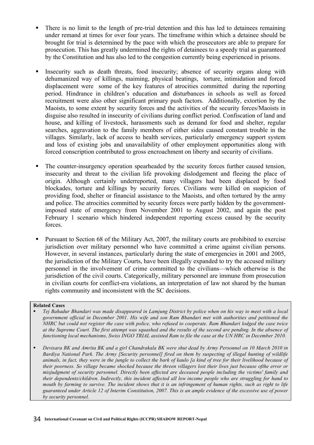- ! There is no limit to the length of pre-trial detention and this has led to detainees remaining under remand at times for over four years. The timeframe within which a detainee should be brought for trial is determined by the pace with which the prosecutors are able to prepare for prosecution. This has greatly undermined the rights of detainees to a speedy trial as guaranteed by the Constitution and has also led to the congestion currently being experienced in prisons.
- ! Insecurity such as death threats, food insecurity; absence of security organs along with dehumanized way of killings, maiming, physical beatings, torture, intimidation and forced displacement were some of the key features of atrocities committed during the reporting period. Hindrance in children's education and disturbances in schools as well as forced recruitment were also other significant primary push factors. Additionally, extortion by the Maoists, to some extent by security forces and the activities of the security forces/Maoists in disguise also resulted in insecurity of civilians during conflict period. Confiscation of land and house, and killing of livestock, harassments such as demand for food and shelter, regular searches, aggravation to the family members of either sides caused constant trouble in the villages. Similarly, lack of access to health services, particularly emergency support system and loss of existing jobs and unavailability of other employment opportunities along with forced conscription contributed to gross encroachment on liberty and security of civilians.
- ! The counter-insurgency operation spearheaded by the security forces further caused tension, insecurity and threat to the civilian life provoking dislodgement and fleeing the place of origin. Although certainly underreported, many villagers had been displaced by food blockades, torture and killings by security forces. Civilians were killed on suspicion of providing food, shelter or financial assistance to the Maoists, and often tortured by the army and police. The atrocities committed by security forces were partly hidden by the governmentimposed state of emergency from November 2001 to August 2002, and again the post February 1 scenario which hindered independent reporting excess caused by the security forces.
- ! Pursuant to Section 68 of the Military Act, 2007, the military courts are prohibited to exercise jurisdiction over military personnel who have committed a crime against civilian persons. However, in several instances, particularly during the state of emergencies in 2001 and 2005, the jurisdiction of the Military Courts, have been illegally expanded to try the accused military personnel in the involvement of crime committed to the civilians—which otherwise is the jurisdiction of the civil courts. Categorically, military personnel are immune from prosecution in civilian courts for conflict-era violations, an interpretation of law not shared by the human rights community and inconsistent with the SC decisions.

### **Related Cases**

- ! *Tej Bahadur Bhandari was made disappeared in Lamjung District by police when on his way to meet with a local government official in December 2001. His wife and son Ram Bhandari met with authorities and petitioned the NHRC but could not register the case with police, who refused to cooperate. Ram Bhandari lodged the case twice at the Supreme Court. The first attempt was squashed and the results of the second are pending. In the absence of functioning local mechanisms, Swiss INGO TRIAL assisted Ram to file the case at the UN HRC in December 2010.*
- ! *Devisara BK and Amrita BK and a girl Chandrakala BK were shut dead by Army Personnel on 10 March 2010 in Bardiya National Park. The Army [Security personnel] fired on them by suspecting of illegal hunting of wildlife animals, in fact, they were in the jungle to collect the bark of kaulo [a kind of tree for their livelihood because of their poorness. So village became shocked because the threen villagers lost their lives just because ofthe error or misjudgment of security personnel. Directly been affected are deceased people including the victims' family and their dependents/children. Indirectly, this incident affected all low income people who are struggling for hand to mouth by farming to survive. The incident shows that it is an infringement of human rights, such as right to life guaranteed under Article 12 of Interim Constitution, 2007. This is an ample evidence of the excessive use of power by security personnel.*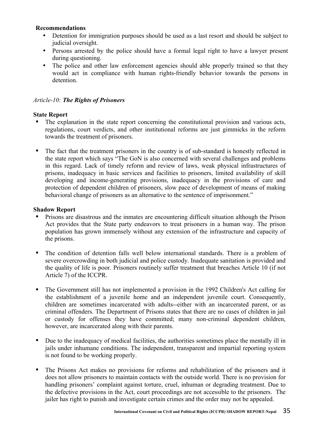### **Recommendations**

- Detention for immigration purposes should be used as a last resort and should be subject to judicial oversight.
- Persons arrested by the police should have a formal legal right to have a lawyer present during questioning.
- The police and other law enforcement agencies should able properly trained so that they would act in compliance with human rights-friendly behavior towards the persons in detention.

# *Article-10: The Rights of Prisoners*

### **State Report**

- ! The explanation in the state report concerning the constitutional provision and various acts, regulations, court verdicts, and other institutional reforms are just gimmicks in the reform towards the treatment of prisoners.
- ! The fact that the treatment prisoners in the country is of sub-standard is honestly reflected in the state report which says "The GoN is also concerned with several challenges and problems in this regard. Lack of timely reform and review of laws, weak physical infrastructures of prisons, inadequacy in basic services and facilities to prisoners, limited availability of skill developing and income-generating provisions, inadequacy in the provisions of care and protection of dependent children of prisoners, slow pace of development of means of making behavioral change of prisoners as an alternative to the sentence of imprisonment."

- ! Prisons are disastrous and the inmates are encountering difficult situation although the Prison Act provides that the State party endeavors to treat prisoners in a human way. The prison population has grown immensely without any extension of the infrastructure and capacity of the prisons.
- ! The condition of detention falls well below international standards. There is a problem of severe overcrowding in both judicial and police custody. Inadequate sanitation is provided and the quality of life is poor. Prisoners routinely suffer treatment that breaches Article 10 (if not Article 7) of the ICCPR.
- ! The Government still has not implemented a provision in the 1992 Children's Act calling for the establishment of a juvenile home and an independent juvenile court. Consequently, children are sometimes incarcerated with adults--either with an incarcerated parent, or as criminal offenders. The Department of Prisons states that there are no cases of children in jail or custody for offenses they have committed; many non-criminal dependent children, however, are incarcerated along with their parents.
- ! Due to the inadequacy of medical facilities, the authorities sometimes place the mentally ill in jails under inhumane conditions. The independent, transparent and impartial reporting system is not found to be working properly.
- ! The Prisons Act makes no provisions for reforms and rehabilitation of the prisoners and it does not allow prisoners to maintain contacts with the outside world. There is no provision for handling prisoners' complaint against torture, cruel, inhuman or degrading treatment. Due to the defective provisions in the Act, court proceedings are not accessible to the prisoners. The jailer has right to punish and investigate certain crimes and the order may not be appealed.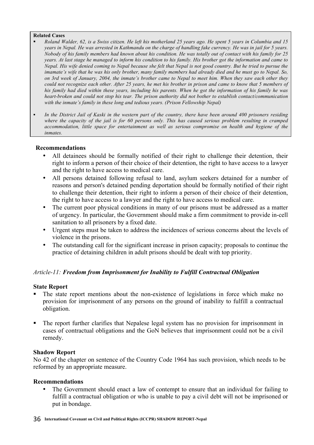#### **Related Cases**

- ! *Roland Walder, 62, is a Swiss citizen. He left his motherland 25 years ago. He spent 5 years in Columbia and 15 years in Nepal. He was arrested in Kathmandu on the charge of handling fake currency. He was in jail for 5 years. Nobody of his family members had known about his condition. He was totally out of contact with his family for 25 years. At last stage he managed to inform his condition to his family. His brother got the information and came to Nepal. His wife denied coming to Nepal because she felt that Nepal is not good country. But he tried to pursue the imamate's wife that he was his only brother, many family members had already died and he must go to Nepal. So, on 3rd week of January, 2004, the inmate's brother came to Nepal to meet him. When they saw each other they could not recognize each other. After 25 years, he met his brother in prison and came to know that 5 members of his family had died within these years, including his parents. When he got the information of his family he was heart-broken and could not stop his tear. The prison authority did not bother to establish contact/communication with the inmate's family in these long and tedious years. (Prison Fellowship Nepal)*
- ! *In the District Jail of Kaski in the western part of the country, there have been around 400 prisoners residing where the capacity of the jail is for 60 persons only. This has caused serious problem resulting in cramped accommodation, little space for entertainment as well as serious compromise on health and hygiene of the inmates.*

### **Recommendations**

- All detainees should be formally notified of their right to challenge their detention, their right to inform a person of their choice of their detention, the right to have access to a lawyer and the right to have access to medical care.
- All persons detained following refusal to land, asylum seekers detained for a number of reasons and person's detained pending deportation should be formally notified of their right to challenge their detention, their right to inform a person of their choice of their detention, the right to have access to a lawyer and the right to have access to medical care.
- The current poor physical conditions in many of our prisons must be addressed as a matter of urgency. In particular, the Government should make a firm commitment to provide in-cell sanitation to all prisoners by a fixed date.
- Urgent steps must be taken to address the incidences of serious concerns about the levels of violence in the prisons.
- The outstanding call for the significant increase in prison capacity; proposals to continue the practice of detaining children in adult prisons should be dealt with top priority.

# *Article-11: Freedom from Imprisonment for Inability to Fulfill Contractual Obligation*

### **State Report**

- ! The state report mentions about the non-existence of legislations in force which make no provision for imprisonment of any persons on the ground of inability to fulfill a contractual obligation.
- ! The report further clarifies that Nepalese legal system has no provision for imprisonment in cases of contractual obligations and the GoN believes that imprisonment could not be a civil remedy.

### **Shadow Report**

No 42 of the chapter on sentence of the Country Code 1964 has such provision, which needs to be reformed by an appropriate measure.

### **Recommendations**

• The Government should enact a law of contempt to ensure that an individual for failing to fulfill a contractual obligation or who is unable to pay a civil debt will not be imprisoned or put in bondage.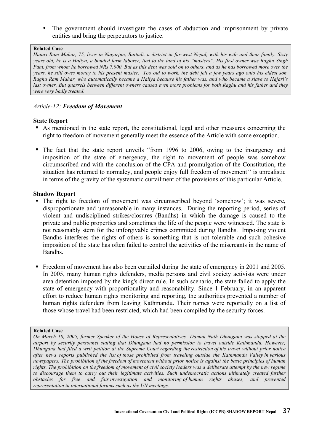The government should investigate the cases of abduction and imprisonment by private entities and bring the perpetrators to justice.

### **Related Case**

*Hajari Ram Mahar, 75, lives in Nagarjun, Baitadi, a district in far-west Nepal, with his wife and their family. Sixty years old, he is a Haliya, a bonded farm laborer, tied to the land of his "masters". His first owner was Raghu Singh Pant, from whom he borrowed NRs 7,000. But as this debt was sold on to others, and as he has borrowed more over the years, he still owes money to his present master. Too old to work, the debt fell a few years ago onto his eldest son. Raghu Ram Mahar, who automatically became a Haliya because his father was, and who became a slave to Hajari's*  last owner. But quarrels between different owners caused even more problems for both Raghu and his father and they *were very badly treated.*

# *Article-12: Freedom of Movement*

### **State Report**

- ! As mentioned in the state report, the constitutional, legal and other measures concerning the right to freedom of movement generally meet the essence of the Article with some exception.
- ! The fact that the state report unveils "from 1996 to 2006, owing to the insurgency and imposition of the state of emergency, the right to movement of people was somehow circumscribed and with the conclusion of the CPA and promulgation of the Constitution, the situation has returned to normalcy, and people enjoy full freedom of movement'' is unrealistic in terms of the gravity of the systematic curtailment of the provisions of this particular Article.

### **Shadow Report**

- ! The right to freedom of movement was circumscribed beyond 'somehow'; it was severe, disproportionate and unreasonable in many instances. During the reporting period, series of violent and undisciplined strikes/closures (Bandhs) in which the damage is caused to the private and public properties and sometimes the life of the people were witnessed. The state is not reasonably stern for the unforgivable crimes committed during Bandhs. Imposing violent Bandhs interferes the rights of others is something that is not tolerable and such cohesive imposition of the state has often failed to control the activities of the miscreants in the name of Bandhs.
- ! Freedom of movement has also been curtailed during the state of emergency in 2001 and 2005. In 2005, many human rights defenders, media persons and civil society activists were under area detention imposed by the king's direct rule. In such scenario, the state failed to apply the state of emergency with proportionality and reasonability. Since 1 February, in an apparent effort to reduce human rights monitoring and reporting, the authorities prevented a number of human rights defenders from leaving Kathmandu. Their names were reportedly on a list of those whose travel had been restricted, which had been compiled by the security forces.

### **Related Case**

*On March 10, 2005, former Speaker of the House of Representatives Daman Nath Dhungana was stopped at the airport by security personnel stating that Dhungana had no permission to travel outside Kathmandu. However, Dhungana had filed a writ petition at the Supreme Court regarding the restriction of his travel without prior notice after news reports published the list of those prohibited from traveling outside the Kathmandu Valley in various newspapers. The prohibition of the freedom of movement without prior notice is against the basic principles of human rights. The prohibition on the freedom of movement of civil society leaders was a deliberate attempt by the new regime to discourage them to carry out their legitimate activities. Such undemocratic actions ultimately created further obstacles for free and fair investigation and monitoring of human rights abuses, and prevented representation in international forums such as the UN meetings.*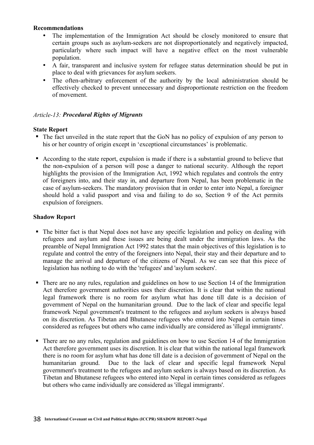### **Recommendations**

- The implementation of the Immigration Act should be closely monitored to ensure that certain groups such as asylum-seekers are not disproportionately and negatively impacted, particularly where such impact will have a negative effect on the most vulnerable population.
- A fair, transparent and inclusive system for refugee status determination should be put in place to deal with grievances for asylum seekers.
- The often-arbitrary enforcement of the authority by the local administration should be effectively checked to prevent unnecessary and disproportionate restriction on the freedom of movement.

# *Article-13: Procedural Rights of Migrants*

### **State Report**

- ! The fact unveiled in the state report that the GoN has no policy of expulsion of any person to his or her country of origin except in 'exceptional circumstances' is problematic.
- ! According to the state report, expulsion is made if there is a substantial ground to believe that the non-expulsion of a person will pose a danger to national security. Although the report highlights the provision of the Immigration Act, 1992 which regulates and controls the entry of foreigners into, and their stay in, and departure from Nepal, has been problematic in the case of asylum-seekers. The mandatory provision that in order to enter into Nepal, a foreigner should hold a valid passport and visa and failing to do so, Section 9 of the Act permits expulsion of foreigners.

- ! The bitter fact is that Nepal does not have any specific legislation and policy on dealing with refugees and asylum and these issues are being dealt under the immigration laws. As the preamble of Nepal Immigration Act 1992 states that the main objectives of this legislation is to regulate and control the entry of the foreigners into Nepal, their stay and their departure and to manage the arrival and departure of the citizens of Nepal. As we can see that this piece of legislation has nothing to do with the 'refugees' and 'asylum seekers'.
- ! There are no any rules, regulation and guidelines on how to use Section 14 of the Immigration Act therefore government authorities uses their discretion. It is clear that within the national legal framework there is no room for asylum what has done till date is a decision of government of Nepal on the humanitarian ground. Due to the lack of clear and specific legal framework Nepal government's treatment to the refugees and asylum seekers is always based on its discretion. As Tibetan and Bhutanese refugees who entered into Nepal in certain times considered as refugees but others who came individually are considered as 'illegal immigrants'.
- ! There are no any rules, regulation and guidelines on how to use Section 14 of the Immigration Act therefore government uses its discretion. It is clear that within the national legal framework there is no room for asylum what has done till date is a decision of government of Nepal on the humanitarian ground. Due to the lack of clear and specific legal framework Nepal government's treatment to the refugees and asylum seekers is always based on its discretion. As Tibetan and Bhutanese refugees who entered into Nepal in certain times considered as refugees but others who came individually are considered as 'illegal immigrants'.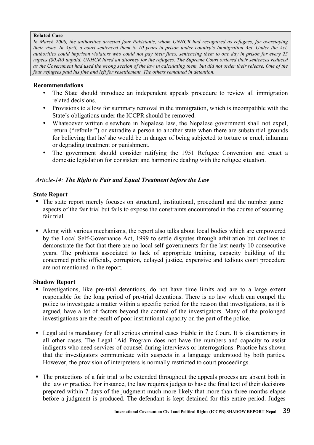### **Related Case**

*In March 2008, the authorities arrested four Pakistanis, whom UNHCR had recognized as refugees, for overstaying their visas. In April, a court sentenced them to 10 years in prison under country's Immigration Act. Under the Act, authorities could imprison violators who could not pay their fines, sentencing them to one day in prison for every 25 rupees (\$0.40) unpaid. UNHCR hired an attorney for the refugees. The Supreme Court ordered their sentences reduced as the Government had used the wrong section of the law in calculating them, but did not order their release. One of the four refugees paid his fine and left for resettlement. The others remained in detention.*

### **Recommendations**

- The State should introduce an independent appeals procedure to review all immigration related decisions.
- Provisions to allow for summary removal in the immigration, which is incompatible with the State's obligations under the ICCPR should be removed.
- Whatsoever written elsewhere in Nepalese law, the Nepalese government shall not expel, return ("refouler") or extradite a person to another state when there are substantial grounds for believing that he/ she would be in danger of being subjected to torture or cruel, inhuman or degrading treatment or punishment.
- The government should consider ratifying the 1951 Refugee Convention and enact a domestic legislation for consistent and harmonize dealing with the refugee situation.

# *Article-14: The Right to Fair and Equal Treatment before the Law*

### **State Report**

- ! The state report merely focuses on structural, institutional, procedural and the number game aspects of the fair trial but fails to expose the constraints encountered in the course of securing fair trial.
- ! Along with various mechanisms, the report also talks about local bodies which are empowered by the Local Self-Governance Act, 1999 to settle disputes through arbitration but declines to demonstrate the fact that there are no local self-governments for the last nearly 10 consecutive years. The problems associated to lack of appropriate training, capacity building of the concerned public officials, corruption, delayed justice, expensive and tedious court procedure are not mentioned in the report.

- ! Investigations, like pre-trial detentions, do not have time limits and are to a large extent responsible for the long period of pre-trial detentions. There is no law which can compel the police to investigate a matter within a specific period for the reason that investigations, as it is argued, have a lot of factors beyond the control of the investigators. Many of the prolonged investigations are the result of poor institutional capacity on the part of the police.
- ! Legal aid is mandatory for all serious criminal cases triable in the Court. It is discretionary in all other cases. The Legal `Aid Program does not have the numbers and capacity to assist indigents who need services of counsel during interviews or interrogations. Practice has shown that the investigators communicate with suspects in a language understood by both parties. However, the provision of interpreters is normally restricted to court proceedings.
- ! The protections of a fair trial to be extended throughout the appeals process are absent both in the law or practice. For instance, the law requires judges to have the final text of their decisions prepared within 7 days of the judgment much more likely that more than three months elapse before a judgment is produced. The defendant is kept detained for this entire period. Judges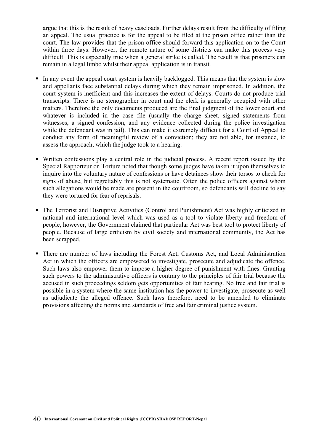argue that this is the result of heavy caseloads. Further delays result from the difficulty of filing an appeal. The usual practice is for the appeal to be filed at the prison office rather than the court. The law provides that the prison office should forward this application on to the Court within three days. However, the remote nature of some districts can make this process very difficult. This is especially true when a general strike is called. The result is that prisoners can remain in a legal limbo whilst their appeal application is in transit.

- ! In any event the appeal court system is heavily backlogged. This means that the system is slow and appellants face substantial delays during which they remain imprisoned. In addition, the court system is inefficient and this increases the extent of delays. Courts do not produce trial transcripts. There is no stenographer in court and the clerk is generally occupied with other matters. Therefore the only documents produced are the final judgment of the lower court and whatever is included in the case file (usually the charge sheet, signed statements from witnesses, a signed confession, and any evidence collected during the police investigation while the defendant was in jail). This can make it extremely difficult for a Court of Appeal to conduct any form of meaningful review of a conviction; they are not able, for instance, to assess the approach, which the judge took to a hearing.
- ! Written confessions play a central role in the judicial process. A recent report issued by the Special Rapporteur on Torture noted that though some judges have taken it upon themselves to inquire into the voluntary nature of confessions or have detainees show their torsos to check for signs of abuse, but regrettably this is not systematic. Often the police officers against whom such allegations would be made are present in the courtroom, so defendants will decline to say they were tortured for fear of reprisals.
- ! The Terrorist and Disruptive Activities (Control and Punishment) Act was highly criticized in national and international level which was used as a tool to violate liberty and freedom of people, however, the Government claimed that particular Act was best tool to protect liberty of people. Because of large criticism by civil society and international community, the Act has been scrapped.
- ! There are number of laws including the Forest Act, Customs Act, and Local Administration Act in which the officers are empowered to investigate, prosecute and adjudicate the offence. Such laws also empower them to impose a higher degree of punishment with fines. Granting such powers to the administrative officers is contrary to the principles of fair trial because the accused in such proceedings seldom gets opportunities of fair hearing. No free and fair trial is possible in a system where the same institution has the power to investigate, prosecute as well as adjudicate the alleged offence. Such laws therefore, need to be amended to eliminate provisions affecting the norms and standards of free and fair criminal justice system.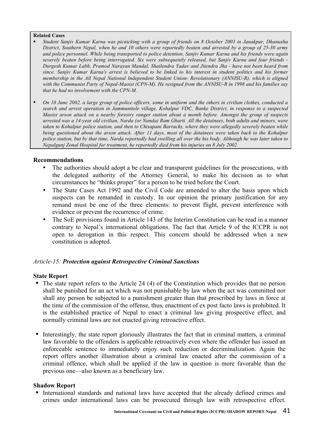#### **Related Cases**

- ! *Student Sanjiv Kumar Karna was picnicking with a group of friends on 8 October 2003 in Janakpur, Dhanusha District, Southern Nepal, when he and 10 others were reportedly beaten and arrested by a group of 25-30 army and police personnel. While being transported to police detention, Sanjiv Kumar Karna and his friends were again severely beaten before being interrogated. Six were subsequently released, but Sanjiv Karna and four friends - Durgesh Kumar Labh, Pramod Narayan Mandal, Shailendra Yadav and Jitendra Jha - have not been heard from since. Sanjiv Kumar Karna's arrest is believed to be linked to his interest in student politics and his former membership in the All Nepal National Independent Student Union- Revolutionary (ANNISU-R), which is aligned with the Communist Party of Nepal-Maoist (CPN-M). He resigned from the ANNISU-R in 1998 and his families say that he had no involvement with the CPN-M.*
- ! *On 10 June 2002, a large group of police officers, some in uniform and the others in civilian clothes, conducted a search and arrest operation in Jammunitole village, Kohalpur VDC, Banke District, in response to a suspected Maoist arson attack on a nearby forestry ranger station about a month before. Amongst the group of suspects arrested was a 14-year old civilian, Narda (or Nanda) Ram Gharti. All the detainees, both adults and minors, were taken to Kohalpur police station, and then to Chisapani Barracks, where they were allegedly severely beaten while being questioned about the arson attack. After 11 days, most of the detainees were taken back to the Kohalpur police station, but by that time, Narda reportedly had swelling all over the his body. Although he was later taken to Nepalgunj Zonal Hospital for treatment, he reportedly died from his injuries on 8 July 2002.*

### **Recommendations**

- The authorities should adopt a be clear and transparent guidelines for the prosecutions, with the delegated authority of the Attorney General, to make his decision as to what circumstances he "thinks proper" for a person to be tried before the Court.
- The State Cases Act 1992 and the Civil Code are amended to alter the basis upon which suspects can be remanded in custody. In our opinion the primary justification for any remand must be one of the three elements: to prevent flight, prevent interference with evidence or prevent the recurrence of crime.
- The SoE provisions found in Article 143 of the Interim Constitution can be read in a manner contrary to Nepal's international obligations. The fact that Article 9 of the ICCPR is not open to derogation in this respect. This concern should be addressed when a new constitution is adopted.

### *Article-15: Protection against Retrospective Criminal Sanctions*

### **State Report**

- ! The state report refers to the Article 24 (4) of the Constitution which provides that no person shall be punished for an act which was not punishable by law when the act was committed nor shall any person be subjected to a punishment greater than that prescribed by laws in force at the time of the commission of the offense, thus, enactment of ex post facto laws is prohibited. It is the established practice of Nepal to enact a criminal law giving prospective effect, and normally criminal laws are not enacted giving retroactive effect.
- ! Interestingly, the state report gloriously illustrates the fact that in criminal matters, a criminal law favorable to the offenders is applicable retroactively even where the offender has issued an enforceable sentence to immediately enjoy such reduction or decriminalization. Again the report offers another illustration about a criminal law enacted after the commission of a criminal offence, which shall be applied if the law in question is more favorable than the previous one—also known as a beneficiary law.

### **Shadow Report**

! International standards and national laws have accepted that the already defined crimes and crimes under international laws can be prosecuted through law with retrospective effect.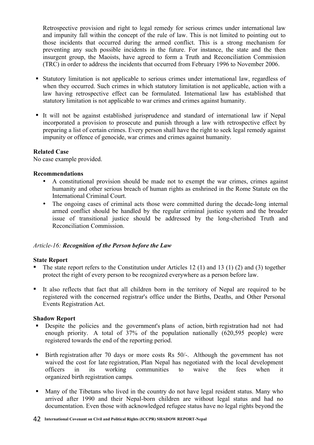Retrospective provision and right to legal remedy for serious crimes under international law and impunity fall within the concept of the rule of law. This is not limited to pointing out to those incidents that occurred during the armed conflict. This is a strong mechanism for preventing any such possible incidents in the future. For instance, the state and the then insurgent group, the Maoists, have agreed to form a Truth and Reconciliation Commission (TRC) in order to address the incidents that occurred from February 1996 to November 2006.

- ! Statutory limitation is not applicable to serious crimes under international law, regardless of when they occurred. Such crimes in which statutory limitation is not applicable, action with a law having retrospective effect can be formulated. International law has established that statutory limitation is not applicable to war crimes and crimes against humanity.
- ! It will not be against established jurisprudence and standard of international law if Nepal incorporated a provision to prosecute and punish through a law with retrospective effect by preparing a list of certain crimes. Every person shall have the right to seek legal remedy against impunity or offence of genocide, war crimes and crimes against humanity.

### **Related Case**

No case example provided.

### **Recommendations**

- A constitutional provision should be made not to exempt the war crimes, crimes against humanity and other serious breach of human rights as enshrined in the Rome Statute on the International Criminal Court.
- The ongoing cases of criminal acts those were committed during the decade-long internal armed conflict should be handled by the regular criminal justice system and the broader issue of transitional justice should be addressed by the long-cherished Truth and Reconciliation Commission.

# *Article-16: Recognition of the Person before the Law*

### **State Report**

- ! The state report refers to the Constitution under Articles 12 (1) and 13 (1) (2) and (3) together protect the right of every person to be recognized everywhere as a person before law.
- ! It also reflects that fact that all children born in the territory of Nepal are required to be registered with the concerned registrar's office under the Births, Deaths, and Other Personal Events Registration Act.

- ! Despite the policies and the government's plans of action, birth registration had not had enough priority. A total of 37% of the population nationally (620,595 people) were registered towards the end of the reporting period.
- ! Birth registration after 70 days or more costs Rs 50/-. Although the government has not waived the cost for late registration, Plan Nepal has negotiated with the local development officers in its working communities to waive the fees when it organized birth registration camps*.*
- ! Many of the Tibetans who lived in the country do not have legal resident status. Many who arrived after 1990 and their Nepal-born children are without legal status and had no documentation. Even those with acknowledged refugee status have no legal rights beyond the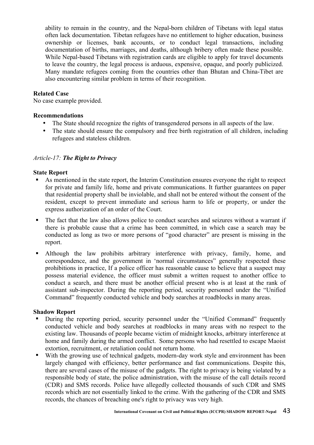ability to remain in the country, and the Nepal-born children of Tibetans with legal status often lack documentation. Tibetan refugees have no entitlement to higher education, business ownership or licenses, bank accounts, or to conduct legal transactions, including documentation of births, marriages, and deaths, although bribery often made these possible. While Nepal-based Tibetans with registration cards are eligible to apply for travel documents to leave the country, the legal process is arduous, expensive, opaque, and poorly publicized. Many mandate refugees coming from the countries other than Bhutan and China-Tibet are also encountering similar problem in terms of their recognition.

### **Related Case**

No case example provided.

### **Recommendations**

- The State should recognize the rights of transgendered persons in all aspects of the law.
- The state should ensure the compulsory and free birth registration of all children, including refugees and stateless children.

### *Article-17: The Right to Privacy*

### **State Report**

- ! As mentioned in the state report, the Interim Constitution ensures everyone the right to respect for private and family life, home and private communications. It further guarantees on paper that residential property shall be inviolable, and shall not be entered without the consent of the resident, except to prevent immediate and serious harm to life or property, or under the express authorization of an order of the Court.
- ! The fact that the law also allows police to conduct searches and seizures without a warrant if there is probable cause that a crime has been committed, in which case a search may be conducted as long as two or more persons of "good character" are present is missing in the report.
- ! Although the law prohibits arbitrary interference with privacy, family, home, and correspondence, and the government in 'normal circumstances' generally respected these prohibitions in practice, If a police officer has reasonable cause to believe that a suspect may possess material evidence, the officer must submit a written request to another office to conduct a search, and there must be another official present who is at least at the rank of assistant sub-inspector. During the reporting period, security personnel under the "Unified Command" frequently conducted vehicle and body searches at roadblocks in many areas.

- ! During the reporting period, security personnel under the "Unified Command" frequently conducted vehicle and body searches at roadblocks in many areas with no respect to the existing law. Thousands of people became victim of midnight knocks, arbitrary interference at home and family during the armed conflict. Some persons who had resettled to escape Maoist extortion, recruitment, or retaliation could not return home.
- ! With the growing use of technical gadgets, modern-day work style and environment has been largely changed with efficiency, better performance and fast communications. Despite this, there are several cases of the misuse of the gadgets. The right to privacy is being violated by a responsible body of state, the police administration, with the misuse of the call details record (CDR) and SMS records. Police have allegedly collected thousands of such CDR and SMS records which are not essentially linked to the crime. With the gathering of the CDR and SMS records, the chances of breaching one's right to privacy was very high.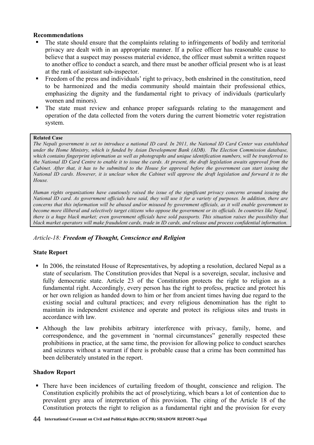### **Recommendations**

- ! The state should ensure that the complaints relating to infringements of bodily and territorial privacy are dealt with in an appropriate manner. If a police officer has reasonable cause to believe that a suspect may possess material evidence, the officer must submit a written request to another office to conduct a search, and there must be another official present who is at least at the rank of assistant sub-inspector.
- ! Freedom of the press and individuals' right to privacy, both enshrined in the constitution, need to be harmonized and the media community should maintain their professional ethics, emphasizing the dignity and the fundamental right to privacy of individuals (particularly women and minors).
- ! The state must review and enhance proper safeguards relating to the management and operation of the data collected from the voters during the current biometric voter registration system.

### **Related Case**

*The Nepali government is set to introduce a national ID card. In 2011, the National ID Card Center was established under the Home Ministry, which is funded by Asian Development Bank (ADB). The Election Commission database, which contains fingerprint information as well as photographs and unique identification numbers, will be transferred to the National ID Card Centre to enable it to issue the cards. At present, the draft legislation awaits approval from the Cabinet. After that, it has to be submitted to the House for approval before the government can start issuing the National ID cards. However, it is unclear when the Cabinet will approve the draft legislation and forward it to the House.*

*Human rights organizations have cautiously raised the issue of the significant privacy concerns around issuing the National ID card. As government officials have said, they will use it for a variety of purposes. In addition, there are concerns that this information will be abused and/or misused by government officials, as it will enable government to become more illiberal and selectively target citizens who oppose the government or its officials. In countries like Nepal, there is a huge black market; even government officials have sold passports. This situation raises the possibility that black market operators will make fraudulent cards, trade in ID cards, and release and process confidential information.*

# *Article-18: Freedom of Thought, Conscience and Religion*

# **State Report**

- ! In 2006, the reinstated House of Representatives, by adopting a resolution, declared Nepal as a state of secularism. The Constitution provides that Nepal is a sovereign, secular, inclusive and fully democratic state. Article 23 of the Constitution protects the right to religion as a fundamental right. Accordingly, every person has the right to profess, practice and protect his or her own religion as handed down to him or her from ancient times having due regard to the existing social and cultural practices; and every religious denomination has the right to maintain its independent existence and operate and protect its religious sites and trusts in accordance with law*.*
- ! Although the law prohibits arbitrary interference with privacy, family, home, and correspondence, and the government in 'normal circumstances' generally respected these prohibitions in practice, at the same time, the provision for allowing police to conduct searches and seizures without a warrant if there is probable cause that a crime has been committed has been deliberately unstated in the report.

### **Shadow Report**

! There have been incidences of curtailing freedom of thought, conscience and religion. The Constitution explicitly prohibits the act of proselytizing, which bears a lot of contention due to prevalent grey area of interpretation of this provision. The citing of the Article 18 of the Constitution protects the right to religion as a fundamental right and the provision for every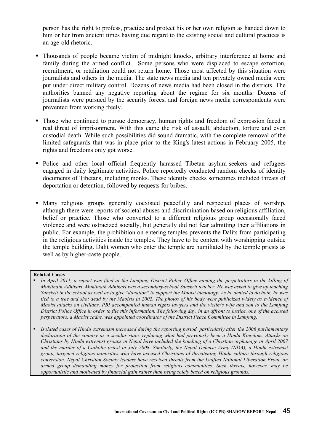person has the right to profess, practice and protect his or her own religion as handed down to him or her from ancient times having due regard to the existing social and cultural practices is an age-old rhetoric.

- ! Thousands of people became victim of midnight knocks, arbitrary interference at home and family during the armed conflict. Some persons who were displaced to escape extortion, recruitment, or retaliation could not return home. Those most affected by this situation were journalists and others in the media. The state news media and ten privately owned media were put under direct military control. Dozens of news media had been closed in the districts. The authorities banned any negative reporting about the regime for six months. Dozens of journalists were pursued by the security forces, and foreign news media correspondents were prevented from working freely.
- ! Those who continued to pursue democracy, human rights and freedom of expression faced a real threat of imprisonment. With this came the risk of assault, abduction, torture and even custodial death. While such possibilities did sound dramatic, with the complete removal of the limited safeguards that was in place prior to the King's latest actions in February 2005, the rights and freedoms only got worse.
- ! Police and other local official frequently harassed Tibetan asylum-seekers and refugees engaged in daily legitimate activities. Police reportedly conducted random checks of identity documents of Tibetans, including monks. These identity checks sometimes included threats of deportation or detention, followed by requests for bribes.
- ! Many religious groups generally coexisted peacefully and respected places of worship, although there were reports of societal abuses and discrimination based on religious affiliation, belief or practice. Those who converted to a different religious group occasionally faced violence and were ostracized socially, but generally did not fear admitting their affiliations in public. For example, the prohibition on entering temples prevents the Dalits from participating in the religious activities inside the temples. They have to be content with worshipping outside the temple building. Dalit women who enter the temple are humiliated by the temple priests as well as by higher-caste people.

### **Related Cases**

- ! *In April 2011, a report was filed at the Lamjung District Police Office naming the perpetrators in the killing of Muktinath Adhikari. Muktinath Adhikari was a secondary-school Sanskrit teacher. He was asked to give up teaching Sanskrit in the school as well as to give "donation" to support the Maoist ideaology. As he denied to do both, he was tied to a tree and shot dead by the Maoists in 2002. The photos of his body were publicized widely as evidence of Maoist attacks on civilians. PBI accompanied human rights lawyers and the victim's wife and son to the Lamjung District Police Office in order to file this information. The following day, in an affront to justice, one of the accused perpetrators, a Maoist cadre, was appointed coordinator of the District Peace Committee in Lamjung.*
- ! *Isolated cases of Hindu extremism increased during the reporting period, particularly after the 2006 parliamentary declaration of the country as a secular state, replacing what had previously been a Hindu Kingdom. Attacks on Christians by Hindu extremist groups in Nepal have included the bombing of a Christian orphanage in April 2007 and the murder of a Catholic priest in July 2008. Similarly, the Nepal Defense Army (NDA), a Hindu extremist group, targeted religious minorities who have accused Christians of threatening Hindu culture through religious conversion. Nepal Christian Society leaders have received threats from the Unified National Liberation Front, an armed group demanding money for protection from religious communities. Such threats, however, may be opportunistic and motivated by financial gain rather than being solely based on religious grounds.*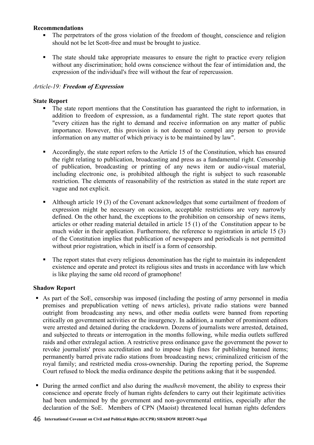### **Recommendations**

- The perpetrators of the gross violation of the freedom of thought, conscience and religion should not be let Scott-free and must be brought to justice.
- ! The state should take appropriate measures to ensure the right to practice every religion without any discrimination; hold owns conscience without the fear of intimidation and, the expression of the individual's free will without the fear of repercussion.

### *Article-19: Freedom of Expression*

### **State Report**

- ! The state report mentions that the Constitution has guaranteed the right to information, in addition to freedom of expression, as a fundamental right. The state report quotes that "every citizen has the right to demand and receive information on any matter of public importance. However, this provision is not deemed to compel any person to provide information on any matter of which privacy is to be maintained by law".
- ! Accordingly, the state report refers to the Article 15 of the Constitution, which has ensured the right relating to publication, broadcasting and press as a fundamental right. Censorship of publication, broadcasting or printing of any news item or audio-visual material, including electronic one, is prohibited although the right is subject to such reasonable restriction. The elements of reasonability of the restriction as stated in the state report are vague and not explicit.
- ! Although article 19 (3) of the Covenant acknowledges that some curtailment of freedom of expression might be necessary on occasion, acceptable restrictions are very narrowly defined. On the other hand, the exceptions to the prohibition on censorship of news items, articles or other reading material detailed in article 15 (1) of the Constitution appear to be much wider in their application. Furthermore, the reference to registration in article 15 (3) of the Constitution implies that publication of newspapers and periodicals is not permitted without prior registration, which in itself is a form of censorship.
- ! The report states that every religious denomination has the right to maintain its independent existence and operate and protect its religious sites and trusts in accordance with law which is like playing the same old record of gramophone!

- ! As part of the SoE, censorship was imposed (including the posting of army personnel in media premises and prepublication vetting of news articles), private radio stations were banned outright from broadcasting any news, and other media outlets were banned from reporting critically on government activities or the insurgency. In addition, a number of prominent editors were arrested and detained during the crackdown. Dozens of journalists were arrested, detained, and subjected to threats or interrogation in the months following, while media outlets suffered raids and other extralegal action. A restrictive press ordinance gave the government the power to revoke journalists' press accreditation and to impose high fines for publishing banned items; permanently barred private radio stations from broadcasting news; criminalized criticism of the royal family; and restricted media cross-ownership. During the reporting period, the Supreme Court refused to block the media ordinance despite the petitions asking that it be suspended.
- ! During the armed conflict and also during the *madhesh* movement, the ability to express their conscience and operate freely of human rights defenders to carry out their legitimate activities had been undermined by the government and non-governmental entities, especially after the declaration of the SoE. Members of CPN (Maoist) threatened local human rights defenders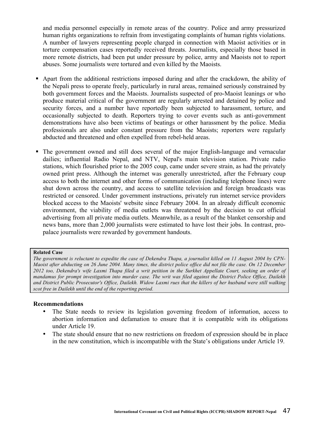and media personnel especially in remote areas of the country. Police and army pressurized human rights organizations to refrain from investigating complaints of human rights violations. A number of lawyers representing people charged in connection with Maoist activities or in torture compensation cases reportedly received threats. Journalists, especially those based in more remote districts, had been put under pressure by police, army and Maoists not to report abuses. Some journalists were tortured and even killed by the Maoists.

- ! Apart from the additional restrictions imposed during and after the crackdown, the ability of the Nepali press to operate freely, particularly in rural areas, remained seriously constrained by both government forces and the Maoists. Journalists suspected of pro-Maoist leanings or who produce material critical of the government are regularly arrested and detained by police and security forces, and a number have reportedly been subjected to harassment, torture, and occasionally subjected to death. Reporters trying to cover events such as anti-government demonstrations have also been victims of beatings or other harassment by the police. Media professionals are also under constant pressure from the Maoists; reporters were regularly abducted and threatened and often expelled from rebel-held areas.
- ! The government owned and still does several of the major English-language and vernacular dailies; influential Radio Nepal, and NTV, Nepal's main television station. Private radio stations, which flourished prior to the 2005 coup, came under severe strain, as had the privately owned print press. Although the internet was generally unrestricted, after the February coup access to both the internet and other forms of communication (including telephone lines) were shut down across the country, and access to satellite television and foreign broadcasts was restricted or censored. Under government instructions, privately run internet service providers blocked access to the Maoists' website since February 2004. In an already difficult economic environment, the viability of media outlets was threatened by the decision to cut official advertising from all private media outlets. Meanwhile, as a result of the blanket censorship and news bans, more than 2,000 journalists were estimated to have lost their jobs. In contrast, propalace journalists were rewarded by government handouts.

#### **Related Case**

*The government is reluctant to expedite the case of Dekendra Thapa, a journalist killed on 11 August 2004 by CPN-Maoist after abducting on 26 June 2004. Many times, the district police office did not file the case. On 12 December*  2012 too, Dekendra's wife Laxmi Thapa filed a writ petition in the Surkhet Appellate Court, seeking an order of *mandamus for prompt investigation into murder case. The writ was filed against the District Police Office, Dailekh and District Public Prosecutor's Office, Dailekh. Widow Laxmi rues that the killers of her husband were still walking scot free in Dailekh until the end of the reporting period.*

#### **Recommendations**

- The State needs to review its legislation governing freedom of information, access to abortion information and defamation to ensure that it is compatible with its obligations under Article 19.
- The state should ensure that no new restrictions on freedom of expression should be in place in the new constitution, which is incompatible with the State's obligations under Article 19.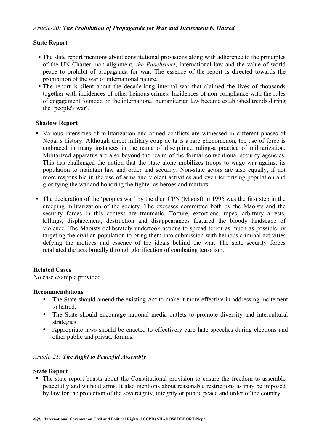# **State Report**

- ! The state report mentions about constitutional provisions along with adherence to the principles of the UN Charter, non-alignment, *the Panchsheel*, international law and the value of world peace to prohibit of propaganda for war. The essence of the report is directed towards the prohibition of the war of international nature.
- ! The report is silent about the decade-long internal war that claimed the lives of thousands together with incidences of other heinous crimes. Incidences of non-compliance with the rules of engagement founded on the international humanitarian law became established trends during the 'people's war'.

# **Shadow Report**

- ! Various intensities of militarization and armed conflicts are witnessed in different phases of Nepal's history. Although direct military coup de ta is a rare phenomenon, the use of force is embraced in many instances in the name of disciplined ruling-a practice of militarization. Militarized apparatus are also beyond the realm of the formal conventional security agencies. This has challenged the notion that the state alone mobilizes troops to wage war against its population to maintain law and order and security. Non-state actors are also equally, if not more responsible in the use of arms and violent activities and even terrorizing population and glorifying the war and honoring the fighter as heroes and martyrs.
- ! The declaration of the 'peoples war' by the then CPN (Maoist) in 1996 was the first step in the creeping militarization of the society. The excesses committed both by the Maoists and the security forces in this context are traumatic. Torture, extortions, rapes, arbitrary arrests, killings, displacement, destruction and disappearances featured the bloody landscape of violence. The Maoists deliberately undertook actions to spread terror as much as possible by targeting the civilian population to bring them into submission with heinous criminal activities defying the motives and essence of the ideals behind the war. The state security forces retaliated the acts brutally through glorification of combating terrorism.

# **Related Cases**

No case example provided.

# **Recommendations**

- The State should amend the existing Act to make it more effective in addressing incitement to hatred.
- The State should encourage national media outlets to promote diversity and intercultural strategies.
- Appropriate laws should be enacted to effectively curb hate speeches during elections and other public and private forums.

# *Article-21: The Right to Peaceful Assembly*

### **State Report**

! The state report boasts about the Constitutional provision to ensure the freedom to assemble peacefully and without arms. It also mentions about reasonable restrictions as may be imposed by law for the protection of the sovereignty, integrity or public peace and order of the country.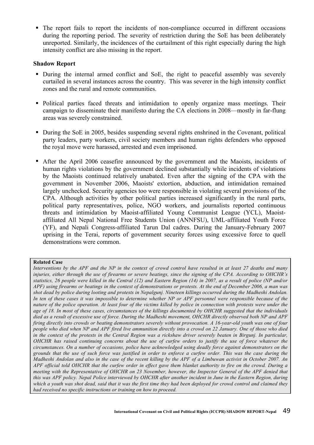! The report fails to report the incidents of non-compliance occurred in different occasions during the reporting period. The severity of restriction during the SoE has been deliberately unreported. Similarly, the incidences of the curtailment of this right especially during the high intensity conflict are also missing in the report.

### **Shadow Report**

- ! During the internal armed conflict and SoE, the right to peaceful assembly was severely curtailed in several instances across the country. This was severer in the high intensity conflict zones and the rural and remote communities.
- ! Political parties faced threats and intimidation to openly organize mass meetings. Their campaign to disseminate their manifesto during the CA elections in 2008—mostly in far-flung areas was severely constrained.
- ! During the SoE in 2005, besides suspending several rights enshrined in the Covenant, political party leaders, party workers, civil society members and human rights defenders who opposed the royal move were harassed, arrested and even imprisoned.
- ! After the April 2006 ceasefire announced by the government and the Maoists, incidents of human rights violations by the government declined substantially while incidents of violations by the Maoists continued relatively unabated. Even after the signing of the CPA with the government in November 2006, Maoists' extortion, abduction, and intimidation remained largely unchecked. Security agencies too were responsible in violating several provisions of the CPA. Although activities by other political parties increased significantly in the rural parts, political party representatives, police, NGO workers, and journalists reported continuous threats and intimidation by Maoist-affiliated Young Communist League (YCL), Maoistaffiliated All Nepal National Free Students Union (ANNFSU), UML-affiliated Youth Force (YF), and Nepali Congress-affiliated Tarun Dal cadres. During the January-February 2007 uprising in the Terai, reports of government security forces using excessive force to quell demonstrations were common.

### **Related Case**

*Interventions by the APF and the NP in the context of crowd control have resulted in at least 27 deaths and many injuries, either through the use of firearms or severe beatings, since the signing of the CPA. According to OHCHR's statistics, 26 people were killed in the Central (12) and Eastern Region (14) in 2007, as a result of police (NP and/or APF) using firearms or beatings in the context of demonstrations or protests. At the end of December 2006, a man was shot dead by police during looting and protests in Nepalgunj. Nineteen killings occurred during the Madheshi Andolan. In ten of these cases it was impossible to determine whether NP or APF personnel were responsible because of the nature of the police operation. At least four of the victims killed by police in connection with protests were under the age of 18. In most of these cases, circumstances of the killings documented by OHCHR suggested that the individuals died as a result of excessive use of force. During the Madheshi movement, OHCHR directly observed both NP and APF firing directly into crowds or beating demonstrators severely without provocation. A 16-year-old youth was one of four people who died when NP and APF fired live ammunition directly into a crowd on 22 January. One of those who died in the context of the protests in the Central Region was a rickshaw driver severely beaten in Birgunj. In particular, OHCHR has raised continuing concerns about the use of curfew orders to justify the use of force whatever the circumstances. On a number of occasions, police have acknowledged using deadly force against demonstrators on the grounds that the use of such force was justified in order to enforce a curfew order. This was the case during the Madheshi Andolan and also in the case of the recent killing by the APF of a Limbuwan activist in October 2007. An APF official told OHCHR that the curfew order in effect gave them blanket authority to fire on the crowd. During a meeting with the Representative of OHCHR on 23 November, however, the Inspector General of the APF denied that this was APF policy. Nepal Police interviewed by OHCHR after another incident in June in the Eastern Region, during which a youth was shot dead, said that it was the first time they had been deployed for crowd control and claimed they had received no specific instructions or training on how to proceed.*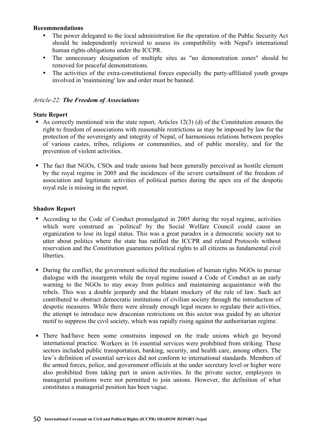### **Recommendations**

- The power delegated to the local administration for the operation of the Public Security Act should be independently reviewed to assess its compatibility with Nepal's international human rights obligations under the ICCPR.
- The unnecessary designation of multiple sites as "no demonstration zones" should be removed for peaceful demonstrations.
- The activities of the extra-constitutional forces especially the party-affiliated youth groups involved in 'maintaining' law and order must be banned.

### *Article-22: The Freedom of Associations*

### **State Report**

- As correctly mentioned win the state report, Articles  $12(3)$  (d) of the Constitution ensures the right to freedom of associations with reasonable restrictions as may be imposed by law for the protection of the sovereignty and integrity of Nepal, of harmonious relations between peoples of various castes, tribes, religions or communities, and of public morality, and for the prevention of violent activities.
- ! The fact that NGOs, CSOs and trade unions had been generally perceived as hostile element by the royal regime in 2005 and the incidences of the severe curtailment of the freedom of association and legitimate activities of political parties during the apex era of the despotic royal rule is missing in the report.

- ! According to the Code of Conduct promulgated in 2005 during the royal regime, activities which were construed as `political' by the Social Welfare Council could cause an organization to lose its legal status. This was a great paradox in a democratic society not to utter about politics where the state has ratified the ICCPR and related Protocols without reservation and the Constitution guarantees political rights to all citizens as fundamental civil liberties.
- ! During the conflict, the government solicited the mediation of human rights NGOs to pursue dialogue with the insurgents while the royal regime issued a Code of Conduct as an early warning to the NGOs to stay away from politics and maintaining acquaintance with the rebels. This was a double jeopardy and the blatant mockery of the rule of law. Such act contributed to obstruct democratic institutions of civilian society through the introduction of despotic measures. While there were already enough legal means to regulate their activities, the attempt to introduce new draconian restrictions on this sector was guided by an ulterior motif to suppress the civil society, which was rapidly rising against the authoritarian regime.
- ! There had/have been some constrains imposed on the trade unions which go beyond international practice. Workers in 16 essential services were prohibited from striking. These sectors included public transportation, banking, security, and health care, among others. The law's definition of essential services did not conform to international standards. Members of the armed forces, police, and government officials at the under secretary level or higher were also prohibited from taking part in union activities. In the private sector, employees in managerial positions were not permitted to join unions. However, the definition of what constitutes a managerial position has been vague.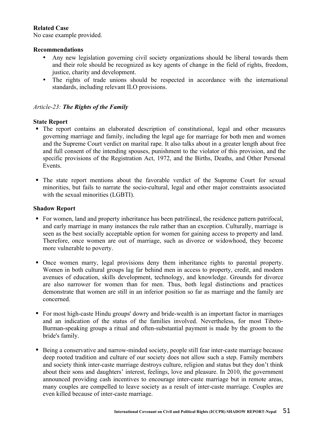# **Related Case**

No case example provided.

# **Recommendations**

- Any new legislation governing civil society organizations should be liberal towards them and their role should be recognized as key agents of change in the field of rights, freedom, justice, charity and development.
- The rights of trade unions should be respected in accordance with the international standards, including relevant ILO provisions.

# *Article-23: The Rights of the Family*

### **State Report**

- ! The report contains an elaborated description of constitutional, legal and other measures governing marriage and family, including the legal age for marriage for both men and women and the Supreme Court verdict on marital rape. It also talks about in a greater length about free and full consent of the intending spouses, punishment to the violator of this provision, and the specific provisions of the Registration Act, 1972, and the Births, Deaths, and Other Personal Events.
- ! The state report mentions about the favorable verdict of the Supreme Court for sexual minorities, but fails to narrate the socio-cultural, legal and other major constraints associated with the sexual minorities (LGBTI).

- ! For women, land and property inheritance has been patrilineal, the residence pattern patrifocal, and early marriage in many instances the rule rather than an exception. Culturally, marriage is seen as the best socially acceptable option for women for gaining access to property and land. Therefore, once women are out of marriage, such as divorce or widowhood, they become more vulnerable to poverty.
- ! Once women marry, legal provisions deny them inheritance rights to parental property. Women in both cultural groups lag far behind men in access to property, credit, and modern avenues of education, skills development, technology, and knowledge. Grounds for divorce are also narrower for women than for men. Thus, both legal distinctions and practices demonstrate that women are still in an inferior position so far as marriage and the family are concerned.
- ! For most high-caste Hindu groups' dowry and bride-wealth is an important factor in marriages and an indication of the status of the families involved. Nevertheless, for most Tibeto-Burman-speaking groups a ritual and often-substantial payment is made by the groom to the bride's family.
- ! Being a conservative and narrow-minded society, people still fear inter-caste marriage because deep rooted tradition and culture of our society does not allow such a step. Family members and society think inter-caste marriage destroys culture, religion and status but they don't think about their sons and daughters' interest, feelings, love and pleasure. In 2010, the government announced providing cash incentives to encourage inter-caste marriage but in remote areas, many couples are compelled to leave society as a result of inter-caste marriage. Couples are even killed because of inter-caste marriage.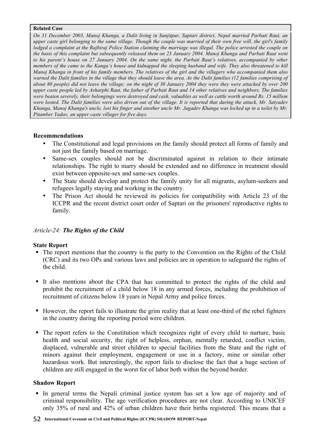### **Related Case**

*On 31 December 2003, Manoj Khanga, a Dalit living in Sanjitpur, Saptari district, Nepal married Parbati Raut, an upper caste girl belonging to the same village. Though the couple was married of their own free will, the girl's family lodged a complaint at the Rajbiraj Police Station claiming the marriage was illegal. The police arrested the couple on the basis of this complaint but subsequently released them on 23 January 2004. Manoj Khanga and Parbati Raut went to his parent's house on 27 January 2004. On the same night, the Parbati Raut's relatives, accompanied by other members of the came to the Kanga's house and kidnapped the sleeping husband and wife. They also threatened to kill Manoj Khanga in front of his family members. The relatives of the girl and the villagers who accompanied them also warned the Dalit families in the village that they should leave the area. As the Dalit families (12 families comprising of about 80 people) did not leave the village; on the night of 30 January 2004 they were they were attacked by over 200 upper caste people led by Asharphi Raut, the father of Parbati Raut and 14 other relatives and neighbors. The families were beaten severely, their belongings were destroyed and cash, valuables as well as cattle worth around Rs. 15 million were looted. The Dalit families were also driven out of the village. It is reported that during the attack, Mr. Satyadev Khanga, Manoj Khanga's uncle, lost his finger and another uncle Mr. Jagadev Khanga was locked up in a toilet by Mr. Pitamber Yadav, an upper caste villager for five days.*

### **Recommendations**

- The Constitutional and legal provisions on the family should protect all forms of family and not just the family based on marriage.
- Same-sex couples should not be discriminated against in relation to their intimate relationships. The right to marry should be extended and no difference in treatment should exist between opposite-sex and same-sex couples.
- The State should develop and protect the family unity for all migrants, asylum-seekers and refugees legally staying and working in the country.
- The Prison Act should be reviewed its policies for compatibility with Article 23 of the ICCPR and the recent district court order of Saptari on the prisoners' reproductive rights to family.

# *Article-24: The Rights of the Child*

### **State Report**

- ! The report mentions that the country is the party to the Convention on the Rights of the Child (CRC) and its two OPs and various laws and policies are in operation to safeguard the rights of the child.
- ! It also mentions about the CPA that has committed to protect the rights of the child and prohibit the recruitment of a child below 18 in any armed forces, including the prohibition of recruitment of citizens below 18 years in Nepal Army and police forces.
- ! However, the report fails to illustrate the grim reality that at least one-third of the rebel fighters in the country during the reporting period were children.
- ! The report refers to the Constitution which recognizes right of every child to nurture, basic health and social security, the right of helpless, orphan, mentally retarded, conflict victim, displaced, vulnerable and street children to special facilities from the State and the right of minors against their employment, engagement or use in a factory, mine or similar other hazardous work. But interestingly, the report fails to disclose the fact that a huge section of children are still engaged in the worst for of labor both within the beyond border.

### **Shadow Report**

! In general terms the Nepali criminal justice system has set a low age of majority and of criminal responsibility. The age verification procedures are not clear. According to UNICEF only 35% of rural and 42% of urban children have their births registered. This means that a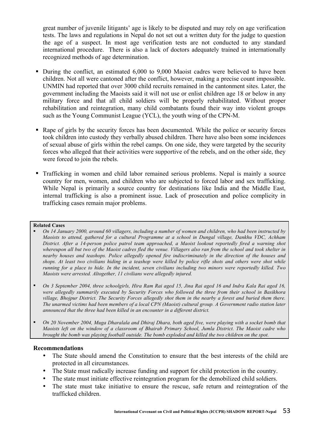great number of juvenile litigants' age is likely to be disputed and may rely on age verification tests. The laws and regulations in Nepal do not set out a written duty for the judge to question the age of a suspect. In most age verification tests are not conducted to any standard international procedure. There is also a lack of doctors adequately trained in internationally recognized methods of age determination.

- ! During the conflict, an estimated 6,000 to 9,000 Maoist cadres were believed to have been children. Not all were cantoned after the conflict, however, making a precise count impossible. UNMIN had reported that over 3000 child recruits remained in the cantonment sites. Later, the government including the Maoists said it will not use or enlist children age 18 or below in any military force and that all child soldiers will be properly rehabilitated. Without proper rehabilitation and reintegration, many child combatants found their way into violent groups such as the Young Communist League (YCL), the youth wing of the CPN-M.
- ! Rape of girls by the security forces has been documented. While the police or security forces took children into custody they verbally abused children. There have also been some incidences of sexual abuse of girls within the rebel camps. On one side, they were targeted by the security forces who alleged that their activities were supportive of the rebels, and on the other side, they were forced to join the rebels.
- ! Trafficking in women and child labor remained serious problems. Nepal is mainly a source country for men, women, and children who are subjected to forced labor and sex trafficking. While Nepal is primarily a source country for destinations like India and the Middle East, internal trafficking is also a prominent issue. Lack of prosecution and police complicity in trafficking cases remain major problems.

### **Related Cases**

- ! *On 14 January 2000, around 60 villagers, including a number of women and children, who had been instructed by Maoists to attend, gathered for a cultural Programme at a school in Dungal village, Dankhu VDC, Achham District. After a 14-person police patrol team approached, a Maoist lookout reportedly fired a warning shot whereupon all but two of the Maoist cadres fled the venue. Villagers also ran from the school and took shelter in nearby houses and teashops. Police allegedly opened fire indiscriminately in the direction of the houses and shops. At least two civilians hiding in a teashop were killed by police rifle shots and others were shot while running for a place to hide. In the incident, seven civilians including two minors were reportedly killed. Two Maoists were arrested. Altogether, 11 civilians were allegedly injured.*
- ! *On 3 September 2004, three schoolgirls, Hira Ram Rai aged 15, Jina Rai aged 16 and Indra Kala Rai aged 16, were allegedly summarily executed by Security Forces who followed the three from their school in Basikhora village, Bhojpur District. The Security Forces allegedly shot them in the nearby a forest and buried them there. The unarmed victims had been members of a local CPN (Maoist) cultural group. A Government radio station later announced that the three had been killed in an encounter in a different district.*
- ! *On 20 November 2004, Muga Dharalala and Dhiraj Dhara, both aged five, were playing with a socket bomb that Maoists left on the window of a classroom of Bhairab Primary School, Jumla District. The Maoist cadre who brought the bomb was playing football outside. The bomb exploded and killed the two children on the spot.*

### **Recommendations**

- The State should amend the Constitution to ensure that the best interests of the child are protected in all circumstances.
- The State must radically increase funding and support for child protection in the country.
- The state must initiate effective reintegration program for the demobilized child soldiers.
- The state must take initiative to ensure the rescue, safe return and reintegration of the trafficked children.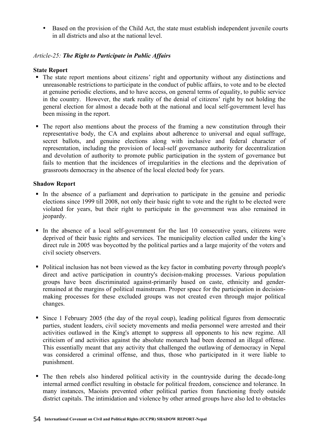• Based on the provision of the Child Act, the state must establish independent juvenile courts in all districts and also at the national level.

# *Article-25: The Right to Participate in Public Affairs*

# **State Report**

- ! The state report mentions about citizens' right and opportunity without any distinctions and unreasonable restrictions to participate in the conduct of public affairs, to vote and to be elected at genuine periodic elections, and to have access, on general terms of equality, to public service in the country. However, the stark reality of the denial of citizens' right by not holding the general election for almost a decade both at the national and local self-government level has been missing in the report.
- ! The report also mentions about the process of the framing a new constitution through their representative body, the CA and explains about adherence to universal and equal suffrage, secret ballots, and genuine elections along with inclusive and federal character of representation, including the provision of local-self governance authority for decentralization and devolution of authority to promote public participation in the system of governance but fails to mention that the incidences of irregularities in the elections and the deprivation of grassroots democracy in the absence of the local elected body for years.

- ! In the absence of a parliament and deprivation to participate in the genuine and periodic elections since 1999 till 2008, not only their basic right to vote and the right to be elected were violated for years, but their right to participate in the government was also remained in jeopardy.
- ! In the absence of a local self-government for the last 10 consecutive years, citizens were deprived of their basic rights and services. The municipality election called under the king's direct rule in 2005 was boycotted by the political parties and a large majority of the voters and civil society observers.
- ! Political inclusion has not been viewed as the key factor in combating poverty through people's direct and active participation in country's decision-making processes. Various population groups have been discriminated against-primarily based on caste, ethnicity and genderremained at the margins of political mainstream. Proper space for the participation in decisionmaking processes for these excluded groups was not created even through major political changes.
- ! Since 1 February 2005 (the day of the royal coup), leading political figures from democratic parties, student leaders, civil society movements and media personnel were arrested and their activities outlawed in the King's attempt to suppress all opponents to his new regime. All criticism of and activities against the absolute monarch had been deemed an illegal offense. This essentially meant that any activity that challenged the outlawing of democracy in Nepal was considered a criminal offense, and thus, those who participated in it were liable to punishment.
- ! The then rebels also hindered political activity in the countryside during the decade-long internal armed conflict resulting in obstacle for political freedom, conscience and tolerance. In many instances, Maoists prevented other political parties from functioning freely outside district capitals. The intimidation and violence by other armed groups have also led to obstacles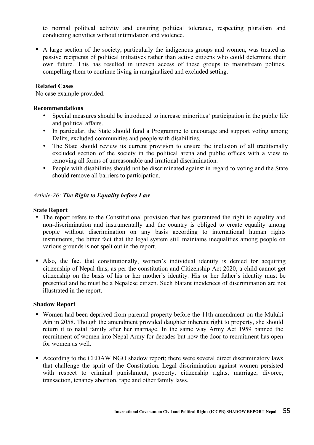to normal political activity and ensuring political tolerance, respecting pluralism and conducting activities without intimidation and violence.

! A large section of the society, particularly the indigenous groups and women, was treated as passive recipients of political initiatives rather than active citizens who could determine their own future. This has resulted in uneven access of these groups to mainstream politics, compelling them to continue living in marginalized and excluded setting.

### **Related Cases**

No case example provided.

### **Recommendations**

- Special measures should be introduced to increase minorities' participation in the public life and political affairs.
- In particular, the State should fund a Programme to encourage and support voting among Dalits, excluded communities and people with disabilities.
- The State should review its current provision to ensure the inclusion of all traditionally excluded section of the society in the political arena and public offices with a view to removing all forms of unreasonable and irrational discrimination.
- People with disabilities should not be discriminated against in regard to voting and the State should remove all barriers to participation.

### *Article-26: The Right to Equality before Law*

### **State Report**

- ! The report refers to the Constitutional provision that has guaranteed the right to equality and non-discrimination and instrumentally and the country is obliged to create equality among people without discrimination on any basis according to international human rights instruments, the bitter fact that the legal system still maintains inequalities among people on various grounds is not spelt out in the report.
- ! Also, the fact that constitutionally, women's individual identity is denied for acquiring citizenship of Nepal thus, as per the constitution and Citizenship Act 2020, a child cannot get citizenship on the basis of his or her mother's identity. His or her father's identity must be presented and he must be a Nepalese citizen. Such blatant incidences of discrimination are not illustrated in the report.

- ! Women had been deprived from parental property before the 11th amendment on the Muluki Ain in 2058. Though the amendment provided daughter inherent right to property, she should return it to natal family after her marriage. In the same way Army Act 1959 banned the recruitment of women into Nepal Army for decades but now the door to recruitment has open for women as well.
- ! According to the CEDAW NGO shadow report; there were several direct discriminatory laws that challenge the spirit of the Constitution. Legal discrimination against women persisted with respect to criminal punishment, property, citizenship rights, marriage, divorce, transaction, tenancy abortion, rape and other family laws.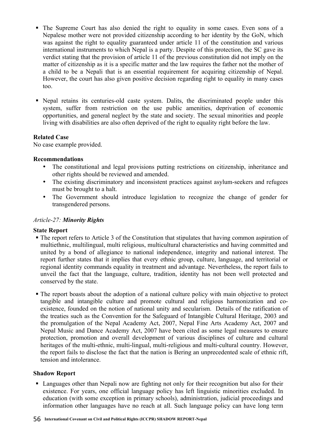- ! The Supreme Court has also denied the right to equality in some cases. Even sons of a Nepalese mother were not provided citizenship according to her identity by the GoN, which was against the right to equality guaranteed under article 11 of the constitution and various international instruments to which Nepal is a party. Despite of this protection, the SC gave its verdict stating that the provision of article 11 of the previous constitution did not imply on the matter of citizenship as it is a specific matter and the law requires the father not the mother of a child to be a Nepali that is an essential requirement for acquiring citizenship of Nepal. However, the court has also given positive decision regarding right to equality in many cases too.
- ! Nepal retains its centuries-old caste system. Dalits, the discriminated people under this system, suffer from restriction on the use public amenities, deprivation of economic opportunities, and general neglect by the state and society. The sexual minorities and people living with disabilities are also often deprived of the right to equality right before the law.

# **Related Case**

No case example provided.

### **Recommendations**

- The constitutional and legal provisions putting restrictions on citizenship, inheritance and other rights should be reviewed and amended.
- The existing discriminatory and inconsistent practices against asylum-seekers and refugees must be brought to a halt.
- The Government should introduce legislation to recognize the change of gender for transgendered persons.

### *Article-27: Minority Rights*

### **State Report**

- ! The report refers to Article 3 of the Constitution that stipulates that having common aspiration of multiethnic, multilingual, multi religious, multicultural characteristics and having committed and united by a bond of allegiance to national independence, integrity and national interest. The report further states that it implies that every ethnic group, culture, language, and territorial or regional identity commands equality in treatment and advantage. Nevertheless, the report fails to unveil the fact that the language, culture, tradition, identity has not been well protected and conserved by the state.
- ! The report boasts about the adoption of a national culture policy with main objective to protect tangible and intangible culture and promote cultural and religious harmonization and coexistence, founded on the notion of national unity and secularism. Details of the ratification of the treaties such as the Convention for the Safeguard of Intangible Cultural Heritage, 2003 and the promulgation of the Nepal Academy Act, 2007, Nepal Fine Arts Academy Act, 2007 and Nepal Music and Dance Academy Act, 2007 have been cited as some legal measures to ensure protection, promotion and overall development of various disciplines of culture and cultural heritages of the multi-ethnic, multi-lingual, multi-religious and multi-cultural country. However, the report fails to disclose the fact that the nation is Bering an unprecedented scale of ethnic rift, tension and intolerance.

# **Shadow Report**

! Languages other than Nepali now are fighting not only for their recognition but also for their existence. For years, one official language policy has left linguistic minorities excluded. In education (with some exception in primary schools), administration, judicial proceedings and information other languages have no reach at all. Such language policy can have long term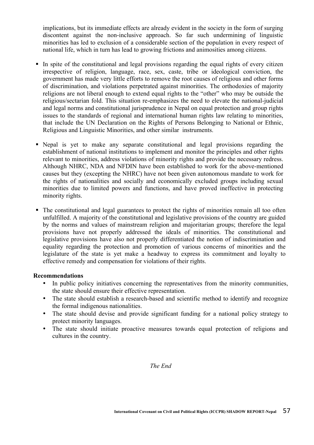implications, but its immediate effects are already evident in the society in the form of surging discontent against the non-inclusive approach. So far such undermining of linguistic minorities has led to exclusion of a considerable section of the population in every respect of national life, which in turn has lead to growing frictions and animosities among citizens.

- ! In spite of the constitutional and legal provisions regarding the equal rights of every citizen irrespective of religion, language, race, sex, caste, tribe or ideological conviction, the government has made very little efforts to remove the root causes of religious and other forms of discrimination, and violations perpetrated against minorities. The orthodoxies of majority religions are not liberal enough to extend equal rights to the "other" who may be outside the religious/sectarian fold. This situation re-emphasizes the need to elevate the national-judicial and legal norms and constitutional jurisprudence in Nepal on equal protection and group rights issues to the standards of regional and international human rights law relating to minorities, that include the UN Declaration on the Rights of Persons Belonging to National or Ethnic, Religious and Linguistic Minorities, and other similar instruments.
- ! Nepal is yet to make any separate constitutional and legal provisions regarding the establishment of national institutions to implement and monitor the principles and other rights relevant to minorities, address violations of minority rights and provide the necessary redress. Although NHRC, NDA and NFDIN have been established to work for the above-mentioned causes but they (excepting the NHRC) have not been given autonomous mandate to work for the rights of nationalities and socially and economically excluded groups including sexual minorities due to limited powers and functions, and have proved ineffective in protecting minority rights.
- ! The constitutional and legal guarantees to protect the rights of minorities remain all too often unfulfilled. A majority of the constitutional and legislative provisions of the country are guided by the norms and values of mainstream religion and majoritarian groups; therefore the legal provisions have not properly addressed the ideals of minorities. The constitutional and legislative provisions have also not properly differentiated the notion of indiscrimination and equality regarding the protection and promotion of various concerns of minorities and the legislature of the state is yet make a headway to express its commitment and loyalty to effective remedy and compensation for violations of their rights.

### **Recommendations**

- In public policy initiatives concerning the representatives from the minority communities, the state should ensure their effective representation.
- The state should establish a research-based and scientific method to identify and recognize the formal indigenous nationalities.
- The state should devise and provide significant funding for a national policy strategy to protect minority languages.
- The state should initiate proactive measures towards equal protection of religions and cultures in the country.

### *The End*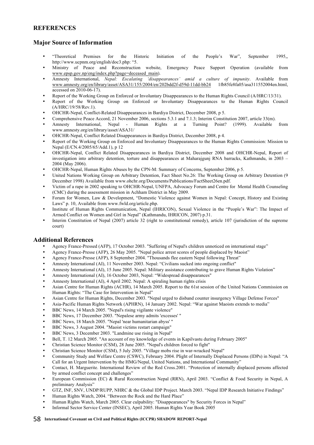### **REFERENCES**

# **Major Source of Information**

- "Theoretical Premises for the Historic Initiation of the People's War", September 1995,, http://www.ucpnm.org/english/doc3.php: "5.
- Ministry of Peace and Reconstruction website, Emergency Peace Support Operation (available from www.epsp.gov.np/eng/index.php?page=deceased\_main).
- Amnesty International, *Nepal: Escalating 'disappearances' amid a culture of impunity*. Available from www.amnesty.org/en/library/asset/ASA31/155/2004/en/202bdd2f-d59d-11dd-bb24 accessed on 2010-06-17).
- Report of the Working Group on Enforced or Involuntary Disappearances to the Human Rights Council (A/HRC/13/31).
- Report of the Working Group on Enforced or Involuntary Disappearances to the Human Rights Council (A/HRC/19/58/Rev.1).
- OHCHR-Nepal, Conflict-Related Disappearances in Bardiya District, December 2008, p 5.
- Comprehensive Peace Accord, 21 November 2006, sections 5.3.1 and 7.1.3; Interim Constitution 2007, article 33(m).
- Amnesty International, Nepal Human Rights at a Turning Point? (1999). Available from www.amnesty.org/en/library/asset/ASA31/
- OHCHR-Nepal, Conflict Related Disappearances in Bardiya District, December 2008, p 4.
- Report of the Working Group on Enforced and Involuntary Disappearances to the Human Rights Commission: Mission to Nepal (E/CN.4/2005/65/Add.1), p 12
- OHCHR-Nepal, Conflict Related Disappearances in Bardiya District, December 2008 and OHCHR-Nepal, Report of investigation into arbitrary detention, torture and disappearances at Maharajgunj RNA barracks, Kathmandu, in 2003 – 2004 (May 2006).
- OHCHR-Nepal, Human Rights Abuses by the CPN-M: Summary of Concerns, September 2006, p 5.
- United Nations Working Group on Arbitrary Detention, Fact Sheet No.26: The Working Group on Arbitrary Detention (9 December 1998) Available from www.ohchr.org/Documents/Publications/FactSheet26en.pdf.
- Victim of a rape in 2002 speaking to OHCHR-Nepal, UNFPA, Advocacy Forum and Centre for Mental Health Counseling (CMC) during the assessment mission in Achham District in May 2009.
- Forum for Women, Law & Development, "Domestic Violence against Women in Nepal: Concept, History and Existing Laws" p. 10, Available from www.fwld.org/article.php.
- Institute of Human Rights Communication, Nepal (IHRICON), Sexual Violence in the "People's War": The Impact of Armed Conflict on Women and Girl in Nepal" (Kathmandu, IHRICON, 2007) p.31.
- Interim Constitution of Nepal (2007) article 32 (right to constitutional remedy), article 107 (jurisdiction of the supreme court)

### **Additional References**

- Agency France-Pressed (AFP), 17 October 2003. "Suffering of Nepal's children unnoticed on international stage"
- Agency France-Presse (AFP), 26 May 2005. "Nepal police arrest scores of people displaced by Maoist"
- Agency France-Presse (AFP), 8 September 2004. "Thousands flee eastern Nepal following Threat"
- Amnesty International (AI), 11 November 2003. Nepal: "Civilians sucked into ongoing conflict"
- Amnesty International (AI), 15 June 2005. Nepal: Military assistance contributing to grave Human Rights Violation"
- Amnesty International (AI), 16 October 2003, Nepal: "Widespread disappearances"
- Amnesty International (AI), 4 April 2002. Nepal: A spiraling human rights crisis
- Asian Centre for Human Rights (ACHR), 14 March 2005. Report to the 61st session of the United Nations Commission on Human Rights: "The Case for Intervention in Nepal"
- Asian Centre for Human Rights, December 2003. "Nepal urged to disband counter insurgency Village Defense Forces"
- Asia-Pacific Human Rights Network (APHRN), 14 January 2002. Nepal: "War against Maoists extends to media"
- BBC News, 14 March 2005. "Nepal's rising vigilante violence"
- BBC News, 17 December 2003. "Nepalese army admits 'excesses' "
- BBC News, 18 March 2005. "Nepal 'near humanitarian abyss' "
- BBC News, 3 August 2004. "Maoist victims restart campaign"
- BBC News, 3 December 2003. "Landmine use rising in Nepal"
- Bell, T. 12 March 2005. "An account of my knowledge of events in Kapilvastu during February 2005"
- Christian Science Monitor (CSM), 28 June 2005. "Nepal's children forced to fight"
- Christian Science Monitor (CSM), 5 July 2005. "Village mobs rise in war-wracked Nepal"
- Community Study and Welfare Centre (CSWC), February 2004. Plight of Internally Displaced Persons (IDPs) in Nepal: "A Call for an Urgent Intervention by the HMG/Nepal, United Nations, and International Community"
- Contact, H. Marguerite. International Review of the Red Cross.2001. "Protection of internally displaced persons affected by armed conflict concept and challenges"
- European Commission (EC) & Rural Reconstruction Nepal (RRN), April 2003. "Conflict & Food Security in Nepal, A preliminary Analysis"
- GTZ, INF, SNV, UNDP/RUPP, NHRC & the Global IDP Project. March 2003. "Nepal IDP Research Initiative Findings"
- Human Rights Watch, 2004. "Between the Rock and the Hard Place"
- Human Rights Watch, March 2005. Clear culpability: "Disappearances" by Security Forces in Nepal"
- Informal Sector Service Center (INSEC), April 2005. Human Rights Year Book 2005

#### 58 **International Covenant on Civil and Political Rights (ICCPR) SHADOW REPORT-Nepal**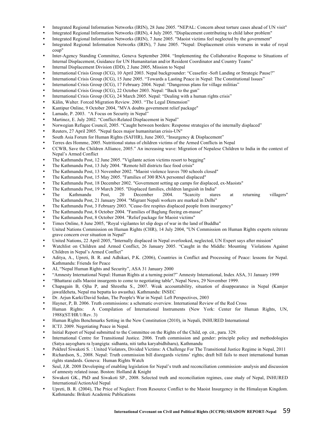- Integrated Regional Information Networks (IRIN), 28 June 2005. "NEPAL: Concern about torture cases ahead of UN visit"
- Integrated Regional Information Networks (IRIN), 4 July 2005. "Displacement contributing to child labor problem"
- Integrated Regional Information Networks (IRIN), 7 June 2005. "Maoist victims feel neglected by the government"
- Integrated Regional Information Networks (IRIN), 7 June 2005. "Nepal: Displacement crisis worsens in wake of royal coup"
- Inter-Agency Standing Committee, Geneva September 2004. "Implementing the Collaborative Response to Situations of Internal Displacement, Guidance for UN Humanitarian and/or Resident Coordinator and Country Teams"
- Internal Displacement Division (IDD), 2 June 2005, Mission to Nepal
- International Crisis Group (ICG), 10 April 2003. Nepal backgrounder: "Ceasefire -Soft Landing or Strategic Pause?"
- International Crisis Group (ICG), 15 June 2005. "Towards a Lasting Peace in Nepal: The Constitutional Issues"
- International Crisis Group (ICG), 17 February 2004. Nepal: "Dangerous plans for village militias"
- International Crisis Group (ICG), 22 October 2003. Nepal: "Back to the gun"
- International Crisis Group (ICG), 24 March 2005. Nepal: "Dealing with a human rights crisis"
- Kälin, Walter. Forced Migration Review. 2003. "The Legal Dimension"
- Kantipur Online, 9 October 2004, "MVA doubts government relief package"
- Lamade, P. 2003. "A Focus on Security in Nepal"
- Martinez, E. July 2002. "Conflict-Related Displacement in Nepal"
- Norwegian Refugee Council, 2005. "Caught between borders: Response strategies of the internally displaced"
- Reuters, 27 April 2005. "Nepal faces major humanitarian crisis-UN"
- South Asia Forum for Human Rights (SAFHR), June 2003, "Insurgency & Displacement"
- Terres des Homme, 2005. Nutritional status of children victims of the Armed Conflicts in Nepal
- CCWB, Save the Children Alliance, 2005." An increasing wave: Migration of Nepalese Children to India in the context of Nepal's Armed Conflict
- The Kathmandu Post, 12 June 2005. "Vigilante action victims resort to begging"
- The Kathmandu Post, 13 July 2004. "Remote hill districts face food crisis"
- The Kathmandu Post, 13 November 2002. "Maoist violence leaves 700 schools closed"
- The Kathmandu Post, 15 May 2005. "Families of 300 RNA personnel displaced"
- The Kathmandu Post, 18 December 2002. "Government setting up camps for displaced, ex-Maoists"
- 
- The Kathmandu Post, 19 March 2005. "Displaced families, children languish in India" • The Kathmandu Post, 20 December 2004. "Scarcity stares at returning villagers" The Kathmandu Post, 21 January 2004. "Migrant Nepali workers are marked in Delhi"
- The Kathmandu Post, 3 February 2003. "Cease-fire respites displaced people from insurgency"
- The Kathmandu Post, 8 October 2004. "Families of Baglung fleeing en-masse"
- The Kathmandu Post, 8 October 2004. "Relief package for Maoist victims"
- Times Online, 8 June 2005, "Royal vigilantes let slip dogs of war in the land of Buddha"
- United Nations Commission on Human Rights (CHR), 14 July 2004, "UN Commission on Human Rights experts reiterate grave concern over situation in Nepal"
- United Nations, 22 April 2005, "Internally displaced in Nepal overlooked, neglected, UN Expert says after mission"
- Watchlist on Children and Armed Conflict, 26 January 2005. "Caught in the Middle: Mounting Violations Against Children in Nepal's Armed Conflict"
- Aditya, A., Upreti, B. R. and Adhikari, P.K. (2006), Countries in Conflict and Processing of Peace: lessons for Nepal. Kathmandu: Friends for Peace
- AI, "Nepal Human Rights and Security", ASA 31 January 2000
- "Amnesty International Nepal: Human Rights at a turning point?" Amnesty International, Index ASA, 31 January 1999
- "Bhattarai calls Maoist insurgents to come to negotiating table", Nepal News, 29 November 1999.
- Chapagain B, Ojha P, and Shrestha S., 2007. Weak accountability, situation of disappearance in Nepal (Kamjor jawafdeheta, Nepal ma bepatta ko awastha). Kathmandu: INSEC
- Dr. Arjun Karki/David Sedan, The People's War in Nepal: Left Perspectives, 2003
- 
- Hayner, P, B. 2006. Truth commissions: a schematic overview. International Review of the Red Cross • Human Rights: A Compilation of International Instruments (New York: Center for Human Rights, UN, 1988)(ST/HR/1/Rev. 3)
- Human Rights Benchmarks Setting in the New Constitution (2010), in Nepali, INHURED International
- ICTJ. 2009. Negotiating Peace in Nepal.
- Initial Report of Nepal submitted to the Committee on the Rights of the Child, op. cit., para. 329.
- International Centre for Transitional Justice. 2006. Truth commission and gender: principle policy and methodologies (Satya aayogharu ra lyangigta: sidhanta, niti tatha karyabidhiharu), Kathmandu
- Pokhrel Siwakoti S. : United Violators, Divided Victims: A Challenge For The Transitional Justice Regime in Nepal, 2011
- Richardson, S., 2008. Nepal: Truth commission bill disregards victims' rights; draft bill fails to meet international human rights standards. Geneva: Human Rights Watch
- Seul, J,R. 2008 Developing of enabling legislation for Nepal's truth and reconciliation commission- analysis and discussion of amnesty related issue. Boston: Holland & Knight
- Siwakoti GK., PhD and Siwakoti SP., 2008. Selected truth and reconciliation regimes, case study of Nepal, INHURED International/ActionAid Nepal
- Upreti, B. R. (2004), The Price of Neglect: From Resource Conflict to the Maoist Insurgency in the Himalayan Kingdom. Kathmandu: Brikuti Academic Publications